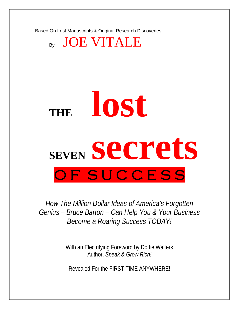Based On Lost Manuscripts & Original Research Discoveries

BY JOE VITALE

# **lost SEVEN secrets**  OF SUCCESS

*How The Million Dollar Ideas of America's Forgotten Genius – Bruce Barton – Can Help You & Your Business Become a Roaring Success TODAY!* 

> With an Electrifying Foreword by Dottie Walters Author, *Speak & Grow Rich!*

Revealed For the FIRST TIME ANYWHERE!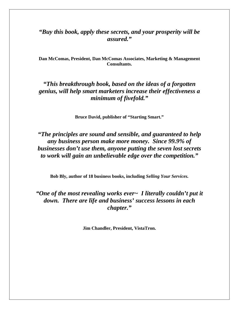## *"Buy this book, apply these secrets, and your prosperity will be assured."*

**Dan McComas, President, Dan McComas Associates, Marketing & Management Consultants.** 

# *"This breakthrough book, based on the ideas of a forgotten genius, will help smart marketers increase their effectiveness a minimum of fivefold."*

**Bruce David, publisher of "Starting Smart."** 

# *"The principles are sound and sensible, and guaranteed to help any business person make more money. Since 99.9% of businesses don't use them, anyone putting the seven lost secrets to work will gain an unbelievable edge over the competition."*

**Bob Bly, author of 18 business books, including** *Selling Your Services.* 

# *"One of the most revealing works ever~ I literally couldn't put it down. There are life and business' success lessons in each chapter."*

**Jim Chandler, President, VistaTron.**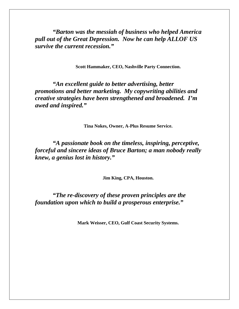*"Barton was the messiah of business who helped America pull out of the Great Depression. Now he can help ALLOF US survive the current recession."* 

**Scott Hammaker, CEO, Nashville Party Connection.** 

*"An excellent guide to better advertising, better promotions and better marketing. My copywriting abilities and creative strategies have been strengthened and broadened. I'm awed and inspired."* 

**Tina Nokes, Owner, A-Plus Resume Service.** 

*"A passionate book on the timeless, inspiring, perceptive, forceful and sincere ideas of Bruce Barton; a man nobody really knew, a genius lost in history."* 

**Jim King, CPA, Houston.** 

*"The re-discovery of these proven principles are the foundation upon which to build a prosperous enterprise."* 

**Mark Weisser, CEO, Gulf Coast Security Systems.**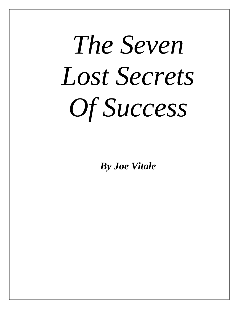# *The Seven Lost Secrets Of Success*

*By Joe Vitale*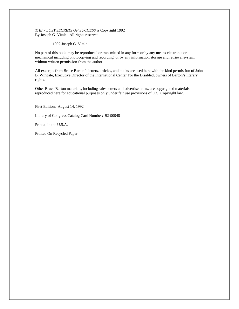#### *THE 7 LOST SECRETS OF SUCCESS* is Copyright 1992 By Joseph G. Vitale. All rights reserved.

1992 Joseph G. Vitale

No part of this book may be reproduced or transmitted in any form or by any means electronic or mechanical including photocopying and recording, or by any information storage and retrieval system, without written permission from the author.

All excerpts from Bruce Barton's letters, articles, and books are used here with the kind permission of John B. Wingate, Executive Director of the International Center For the Disabled, owners of Barton's literary rights.

Other Bruce Barton materials, including sales letters and advertisements, are copyrighted materials reproduced here for educational purposes only under fair use provisions of U.S. Copyright law.

First Edition: August 14, 1992

Library of Congress Catalog Card Number: 92-90948

Printed in the U.S.A.

Printed On Recycled Paper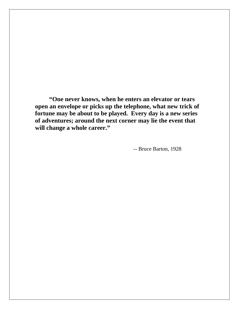**"One never knows, when he enters an elevator or tears open an envelope or picks up the telephone, what new trick of fortune may be about to be played. Every day is a new series of adventures; around the next corner may lie the event that will change a whole career."** 

-- Bruce Barton, 1928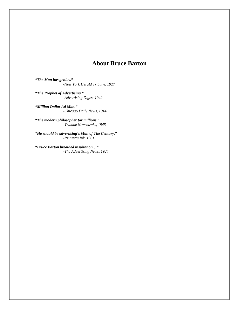# **About Bruce Barton**

*"The Man has genius." -New York Herald Tribune, 1927* 

*"The Prophet of Advertising." -Advertising Digest,1949* 

*"Million Dollar Ad Man." -Chicago Daily News, 1944* 

*"The modern philosopher for millions." -Tribune Newshawks, 1945* 

*"He should be advertising's Man of The Century." -Printer's Ink, 1961* 

*"Bruce Barton breathed inspiration…" -The Advertising News, 1924*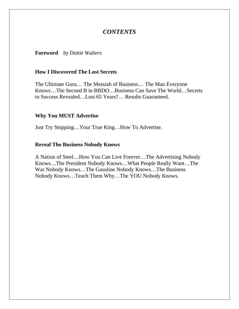# *CONTENTS*

**Foreword** *by Dottie Walters* 

#### **How I Discovered The Lost Secrets**

The Ultimate Guru… The Messiah of Business… The Man Everyone Knows…The Second B in BBDO…Business Can Save The World…Secrets to Success Revealed…Lost 65 Years?… Results Guaranteed.

#### **Why You MUST Advertise**

Just Try Stopping…Your True King…How To Advertise.

#### **Reveal The Business Nobody Knows**

A Nation of Steel…How You Can Live Forever…The Advertising Nobody Knows…The President Nobody Knows…What People Really Want…The War Nobody Knows…The Gasoline Nobody Knows…The Business Nobody Knows…Teach Them Why…The YOU Nobody Knows.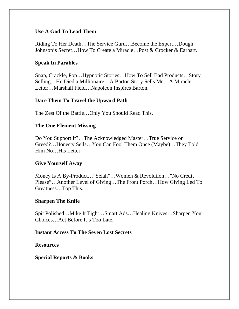#### **Use A God To Lead Them**

Riding To Her Death…The Service Guru…Become the Expert…Dough Johnson's Secret…How To Create a Miracle…Post & Crocker & Earhart.

## **Speak In Parables**

Snap, Crackle, Pop…Hypnotic Stories…How To Sell Bad Products…Story Selling…He Died a Millionaire…A Barton Story Sells Me…A Miracle Letter…Marshall Field…Napoleon Inspires Barton.

## **Dare Them To Travel the Upward Path**

The Zest Of the Battle…Only You Should Read This.

#### **The One Element Missing**

Do You Support It?…The Acknowledged Master…True Service or Greed?…Honesty Sells…You Can Fool Them Once (Maybe)…They Told Him No…His Letter.

#### **Give Yourself Away**

Money Is A By-Product…"Selah"…Women & Revolution…"No Credit Please"…Another Level of Giving…The Front Porch…How Giving Led To Greatness…Top This.

#### **Sharpen The Knife**

Spit Polished…Mike It Tight…Smart Ads…Healing Knives…Sharpen Your Choices…Act Before It's Too Late.

#### **Instant Access To The Seven Lost Secrets**

#### **Resources**

**Special Reports & Books**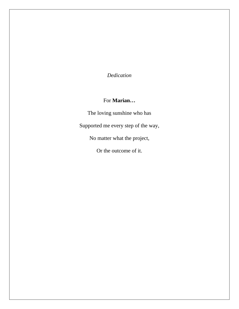*Dedication* 

# For **Marian…**

The loving sunshine who has

Supported me every step of the way,

No matter what the project,

Or the outcome of it.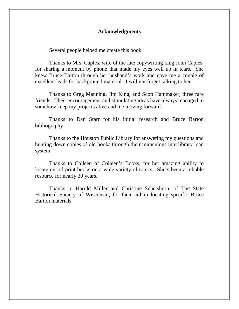#### **Acknowledgments**

Several people helped me create this book.

 Thanks to Mrs. Caples, wife of the late copywriting king John Caples, for sharing a moment by phone that made my eyes well up in tears. She knew Bruce Barton through her husband's work and gave me a couple of excellent leads for background material. I will not forget talking to her.

 Thanks to Greg Manning, Jim King, and Scott Hammaker, three rare friends. Their encouragement and stimulating ideas have always managed to somehow keep my projects alive and me moving forward.

 Thanks to Dan Starr for his initial research and Bruce Barton bibliography.

 Thanks to the Houston Public Library for answering my questions and hunting down copies of old books through their miraculous interlibrary loan system.

 Thanks to Colleen of Colleen's Books, for her amazing ability to locate out-of-print books on a wide variety of topics. She's been a reliable resource for nearly 20 years.

 Thanks to Harold Miller and Christine Schelshorn, of The State Historical Society of Wisconsin, for their aid in locating specific Bruce Barton materials.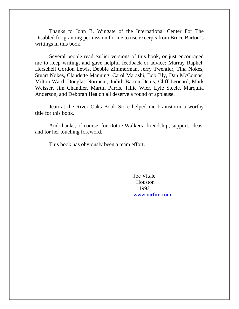Thanks to John B. Wingate of the International Center For The Disabled for granting permission for me to use excerpts from Bruce Barton's writings in this book.

 Several people read earlier versions of this book, or just encouraged me to keep writing, and gave helpful feedback or advice: Murray Raphel, Herschell Gordon Lewis, Debbie Zimmerman, Jerry Twentier, Tina Nokes, Stuart Nokes, Claudette Manning, Carol Marashi, Bob Bly, Dan McComas, Milton Ward, Douglas Norment, Judith Barton Denis, Cliff Leonard, Mark Weisser, Jim Chandler, Martin Parris, Tillie Wier, Lyle Steele, Marquita Anderson, and Deborah Healon all deserve a round of applause.

 Jean at the River Oaks Book Store helped me brainstorm a worthy title for this book.

 And thanks, of course, for Dottie Walkers' friendship, support, ideas, and for her touching foreword.

This book has obviously been a team effort.

 Joe Vitale Houston 1992 [www.mrfire.com](http://www.mrfire.com/)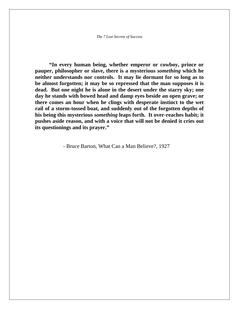**"In every human being, whether emperor or cowboy, prince or pauper, philosopher or slave, there is a mysterious** *something* **which he neither understands nor controls. It may lie dormant for so long as to be almost forgotten; it may be so repressed that the man supposes it is dead. But one night he is alone in the desert under the starry sky; one day he stands with bowed head and damp eyes beside an open grave; or there comes an hour when he clings with desperate instinct to the wet rail of a storm-tossed boat, and suddenly out of the forgotten depths of his being this mysterious** *something* **leaps forth. It over-reaches habit; it pushes aside reason, and with a voice that will not be denied it cries out its questionings and its prayer."** 

- Bruce Barton, What Can a Man Believe?, 1927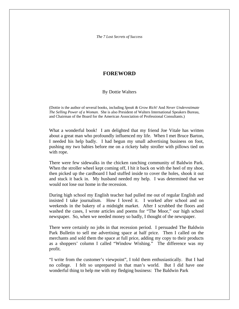#### **FOREWORD**

By Dottie Walters

(Dottie is the author of several books, including *Speak & Grow Rich!* And *Never Underestimate The Selling Power of a Woman.* She is also President of Walters International Speakers Bureau, and Chairman of the Board for the American Association of Professional Consultants.)

 What a wonderful book! I am delighted that my friend Joe Vitale has written about a great man who profoundly influenced my life. When I met Bruce Barton, I needed his help badly. I had begun my small advertising business on foot, pushing my two babies before me on a rickety baby stroller with pillows tied on with rope.

 There were few sidewalks in the chicken ranching community of Baldwin Park. When the stroller wheel kept coming off, I hit it back on with the heel of my shoe, then picked up the cardboard I had stuffed inside to cover the holes, shook it out and stuck it back in. My husband needed my help. I was determined that we would not lose our home in the recession.

 During high school my English teacher had pulled me out of regular English and insisted I take journalism. How I loved it. I worked after school and on weekends in the bakery of a midnight market. After I scrubbed the floors and washed the cases, I wrote articles and poems for "The Moor," our high school newspaper. So, when we needed money so badly, I thought of the newspaper.

 There were certainly no jobs in that recession period. I persuaded The Baldwin Park Bulletin to sell me advertising space at half price. Then I called on the merchants and sold them the space at full price, adding my copy to their products as a shoppers' column I called "Window Wishing." The difference was my profit.

 "I write from the customer's viewpoint", I told them enthusiastically. But I had no college. I felt so unprepared in that man's world. But I did have one wonderful thing to help me with my fledging business: The Baldwin Park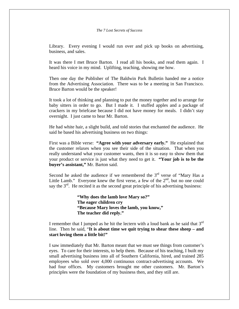Library. Every evening I would run over and pick up books on advertising, business, and sales.

 It was there I met Bruce Barton. I read all his books, and read them again. I heard his voice in my mind. Uplifting, teaching, showing me how.

 Then one day the Publisher of The Baldwin Park Bulletin handed me a notice from the Advertising Association. There was to be a meeting in San Francisco. Bruce Barton would be the speaker!

 It took a lot of thinking and planning to put the money together and to arrange for baby sitters in order to go. But I made it. I stuffed apples and a package of crackers in my briefcase because I did not have money for meals. I didn't stay overnight. I just came to hear Mr. Barton.

 He had white hair, a slight build, and told stories that enchanted the audience. He said he based his advertising business on two things:

 First was a Bible verse: **"Agree with your adversary early."** He explained that the customer relaxes when you see their side of the situation. That when you really understand what your customer wants, then it is so easy to show them that your product or service is just what they need to get it. **"Your job is to be the buyer's assistant,"** Mr. Barton said.

Second he asked the audience if we remembered the  $3<sup>rd</sup>$  verse of "Mary Has a Little Lamb." Everyone knew the first verse, a few of the  $2<sup>nd</sup>$ , but no one could say the  $3<sup>rd</sup>$ . He recited it as the second great principle of his advertising business:

> **"Why does the lamb love Mary so?" The eager children cry "Because Mary loves the lamb, you know," The teacher did reply."**

I remember that I jumped as he hit the lectern with a loud bank as he said that  $3<sup>rd</sup>$ line. Then he said, "**It is about time we quit trying to shear these sheep – and start loving them a little bit!"** 

I saw immediately that Mr. Barton meant that we must see things from customer's eyes. To care for their interests, to help them. Because of his teaching, I built my small advertising business into all of Southern California, hired, and trained 285 employees who sold over 4,000 continuous contract-advertising accounts. We had four offices. My customers brought me other customers. Mr. Barton's principles were the foundation of my business then, and they still are.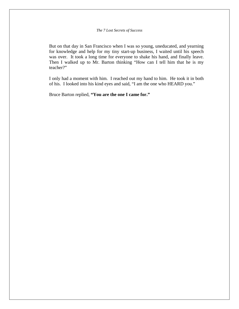But on that day in San Francisco when I was so young, uneducated, and yearning for knowledge and help for my tiny start-up business, I waited until his speech was over. It took a long time for everyone to shake his hand, and finally leave. Then I walked up to Mr. Barton thinking "How can I tell him that he is my teacher?"

 I only had a moment with him. I reached out my hand to him. He took it in both of his. I looked into his kind eyes and said, "I am the one who HEARD you."

Bruce Barton replied, **"You are the one I came for."**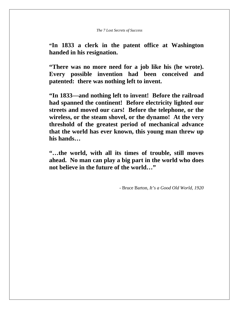**"In 1833 a clerk in the patent office at Washington handed in his resignation.** 

 **"There was no more need for a job like his (he wrote). Every possible invention had been conceived and patented: there was nothing left to invent.** 

 **"In 1833—and nothing left to invent! Before the railroad had spanned the continent! Before electricity lighted our streets and moved our cars! Before the telephone, or the wireless, or the steam shovel, or the dynamo! At the very threshold of the greatest period of mechanical advance that the world has ever known, this young man threw up his hands…** 

 **"…the world, with all its times of trouble, still moves ahead. No man can play a big part in the world who does not believe in the future of the world…"** 

- Bruce Barton, *It's a Good Old World, 1920*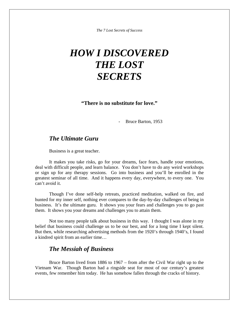# *HOW I DISCOVERED THE LOST SECRETS*

**"There is no substitute for love."** 

Bruce Barton, 1953

## *The Ultimate Guru*

Business is a great teacher.

 It makes you take risks, go for your dreams, face fears, handle your emotions, deal with difficult people, and learn balance. You don't have to do any weird workshops or sign up for any therapy sessions. Go into business and you'll be enrolled in the greatest seminar of all time. And it happens every day, everywhere, to every one. You can't avoid it.

 Though I've done self-help retreats, practiced meditation, walked on fire, and hunted for my inner self, nothing ever compares to the day-by-day challenges of being in business. It's the ultimate guru. It shows you your fears and challenges you to go past them. It shows you your dreams and challenges you to attain them.

 Not too many people talk about business in this way. I thought I was alone in my belief that business could challenge us to be our best, and for a long time I kept silent. But then, while researching advertising methods from the 1920's through 1940's, I found a kindred spirit from an earlier time…

#### *The Messiah of Business*

Bruce Barton lived from 1886 to 1967 – from after the Civil War right up to the Vietnam War. Though Barton had a ringside seat for most of our century's greatest events, few remember him today. He has somehow fallen through the cracks of history.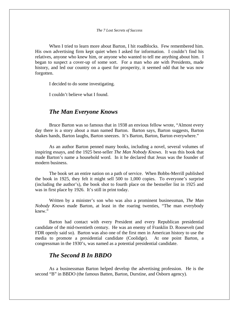When I tried to learn more about Barton, I hit roadblocks. Few remembered him. His own advertising firm kept quiet when I asked for information. I couldn't find his relatives, anyone who knew him, or anyone who wanted to tell me anything about him. I began to suspect a cover-up of some sort. For a man who ate with Presidents, made history, and led our country on a quest for prosperity, it seemed odd that he was now forgotten.

I decided to do some investigating.

I couldn't believe what I found.

#### *The Man Everyone Knows*

 Bruce Barton was so famous that in 1938 an envious fellow wrote, "Almost every day there is a story about a man named Barton. Barton says, Barton suggests, Barton shakes hands, Barton laughs, Barton sneezes. It's Barton, Barton, Barton everywhere."

 As an author Barton penned many books, including a novel, several volumes of inspiring essays, and the 1925 best-seller *The Man Nobody Knows*. It was this book that made Barton's name a household word. In it he declared that Jesus was the founder of modern business.

 The book set an entire nation on a path of service. When Bobbs-Merrill published the book in 1925, they felt it might sell 500 to 1,000 copies. To everyone's surprise (including the author's), the book shot to fourth place on the bestseller list in 1925 and was in first place by 1926. It's still in print today.

 Written by a minister's son who was also a prominent businessman, *The Man Nobody Knows* made Barton, at least in the roaring twenties, "The man everybody knew."

 Barton had contact with every President and every Republican presidential candidate of the mid-twentieth century. He was an enemy of Franklin D. Roosevelt (and FDR openly said so). Barton was also one of the first men in American history to use the media to promote a presidential candidate (Coolidge). At one point Barton, a congressman in the 1930's, was named as a potential presidential candidate.

#### *The Second B In BBDO*

 As a businessman Barton helped develop the advertising profession. He is the second "B" in BBDO (the famous Batten, Barton, Durstine, and Osborn agency).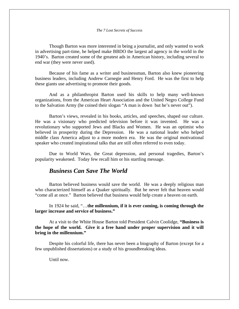Though Barton was more interested in being a journalist, and only wanted to work in advertising part-time, he helped make BBDO the largest ad agency in the world in the 1940's. Barton created some of the greatest ads in American history, including several to end war (they were never used).

 Because of his fame as a writer and businessman, Barton also knew pioneering business leaders, including Andrew Carnegie and Henry Ford. He was the first to help these giants use advertising to promote their goods.

 And as a philanthropist Barton used his skills to help many well-known organizations, from the American Heart Association and the United Negro College Fund to the Salvation Army (he coined their slogan "A man is down but he's never out").

 Barton's views, revealed in his books, articles, and speeches, shaped our culture. He was a visionary who predicted television before it was invented. He was a revolutionary who supported Jews and Blacks and Women. He was an optimist who believed in prosperity during the Depression. He was a national leader who helped middle class America adjust to a more modern era. He was the original motivational speaker who created inspirational talks that are still often referred to even today.

 Due to World Wars, the Great depression, and personal tragedies, Barton's popularity weakened. Today few recall him or his startling message.

## *Business Can Save The World*

Barton believed business would save the world. He was a deeply religious man who characterized himself as a Quaker spiritually. But he never felt that heaven would "come all at once." Barton believed that business would help create a heaven on earth.

 In 1924 he said, "…**the millennium, if it is ever coming, is coming through the larger increase and service of business."** 

At a visit to the White House Barton told President Calvin Coolidge, **"Business is the hope of the world. Give it a free hand under proper supervision and it will bring in the millennium."** 

Despite his colorful life, there has never been a biography of Barton (except for a few unpublished dissertations) or a study of his groundbreaking ideas.

Until now.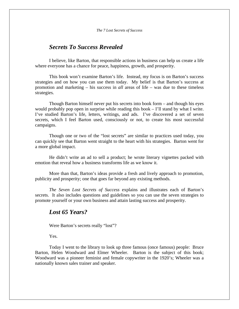#### *Secrets To Success Revealed*

I believe, like Barton, that responsible actions in business can help us create a life where everyone has a chance for peace, happiness, growth, and prosperity.

 This book won't examine Barton's life. Instead, my focus is on Barton's success strategies and on how you can use them today. My belief is that Barton's success at promotion and marketing – his success in *all* areas of life – was due to these timeless strategies.

 Though Barton himself never put his secrets into book form – and though his eyes would probably pop open in surprise while reading this book – I'll stand by what I write. I've studied Barton's life, letters, writings, and ads. I've discovered a set of seven secrets, which I feel Barton used, consciously or not, to create his most successful campaigns.

 Though one or two of the "lost secrets" are similar to practices used today, you can quickly see that Barton went straight to the heart with his strategies. Barton went for a more global impact.

 He didn't write an ad to sell a product; he wrote literary vignettes packed with emotion that reveal how a business transforms life as we know it.

 More than that, Barton's ideas provide a fresh and lively approach to promotion, publicity and prosperity; one that goes far beyond any existing methods.

*The Seven Lost Secrets of Success* explains and illustrates each of Barton's secrets. It also includes questions and guidelines so you can use the seven strategies to promote yourself or your own business and attain lasting success and prosperity.

#### *Lost 65 Years?*

Were Barton's secrets really "lost"?

Yes.

 Today I went to the library to look up three famous (once famous) people: Bruce Barton, Helen Woodward and Elmer Wheeler. Barton is the subject of this book; Woodward was a pioneer feminist and female copywriter in the 1920's; Wheeler was a nationally known sales trainer and speaker.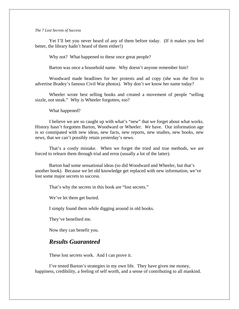Yet I'll bet you never heard of any of them before today. (If it makes you feel better, the library hadn't heard of them either!)

Why not? What happened to these once great people?

Barton was once a household name. Why doesn't anyone remember him?

 Woodward made headlines for her protests and ad copy (she was the first to advertise Bradey's famous Civil War photos). Why don't we know her name today?

 Wheeler wrote best selling books and created a movement of people "selling sizzle, not steak." Why is Wheeler forgotten, too?

What happened?

 I believe we are so caught up with what's "new" that we forget about what works. History hasn't forgotten Barton, Woodward or Wheeler. *We* have. Our information age is so constipated with new ideas, new facts, new reports, new studies, new books, new *news*, that we can't possibly retain yesterday's news.

 That's a costly mistake. When we forget the tried and true methods, we are forced to relearn them through trial and error (usually a lot of the latter).

Barton had some sensational ideas (so did Woodward and Wheeler, but that's another book). Because we let old knowledge get replaced with new information, we've lost some major secrets to success.

That's why the secrets in this book are "lost secrets."

We've let them get buried.

I simply found them while digging around in old books.

They've benefited me.

Now they can benefit you.

#### *Results Guaranteed*

These lost secrets work. And I can prove it.

 I've tested Barton's strategies in my own life. They have given me money, happiness, credibility, a feeling of self worth, and a sense of contributing to all mankind.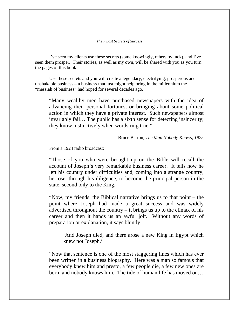I've seen my clients use these secrets (some knowingly, others by luck), and I've seen them prosper. Their stories, as well as my own, will be shared with you as you turn the pages of this book.

 Use these secrets and you will create a legendary, electrifying, prosperous and unshakable business – a business that just might help bring in the millennium the "messiah of business" had hoped for several decades ago.

"Many wealthy men have purchased newspapers with the idea of advancing their personal fortunes, or bringing about some political action in which they have a private interest. Such newspapers almost invariably fail… The public has a sixth sense for detecting insincerity; they know instinctively when words ring true."

- Bruce Barton, *The Man Nobody Knows, 1925* 

From a 1924 radio broadcast:

"Those of you who were brought up on the Bible will recall the account of Joseph's very remarkable business career. It tells how he left his country under difficulties and, coming into a strange country, he rose, through his diligence, to become the principal person in the state, second only to the King.

"Now, my friends, the Biblical narrative brings us to that point – the point where Joseph had made a great success and was widely advertised throughout the country – it brings us up to the climax of his career and then it hands us an awful jolt. Without any words of preparation or explanation, it says bluntly:

'And Joseph died, and there arose a new King in Egypt which knew not Joseph.'

"Now that sentence is one of the most staggering lines which has ever been written in a business biography. Here was a man so famous that everybody knew him and presto, a few people die, a few new ones are born, and nobody knows him. The tide of human life has moved on…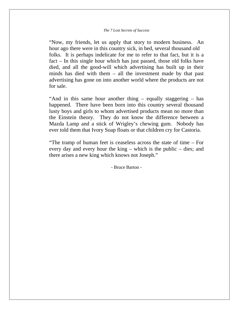"Now, my friends, let us apply that story to modern business. An hour ago there were in this country sick, in bed, several thousand old folks. It is perhaps indelicate for me to refer to that fact, but it is a fact – In this single hour which has just passed, those old folks have died, and all the good-will which advertising has built up in their minds has died with them – all the investment made by that past advertising has gone on into another world where the products are not for sale.

"And in this same hour another thing – equally staggering – has happened. There have been born into this country several thousand lusty boys and girls to whom advertised products mean no more than the Einstein theory. They do not know the difference between a Mazda Lamp and a stick of Wrigley's chewing gum. Nobody has ever told them that Ivory Soap floats or that children cry for Castoria.

"The tramp of human feet is ceaseless across the state of time – For every day and every hour the king – which is the public – dies; and there arises a new king which knows not Joseph."

- Bruce Barton -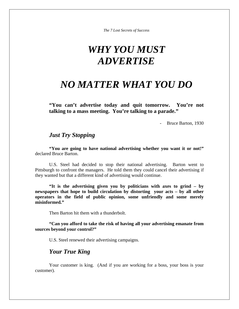# *WHY YOU MUST ADVERTISE*

# *NO MATTER WHAT YOU DO*

**"You can't advertise today and quit tomorrow. You're not talking to a mass meeting. You're talking to a parade."** 

Bruce Barton, 1930

## *Just Try Stopping*

**"You are going to have national advertising whether you want it or not!"**  declared Bruce Barton.

U.S. Steel had decided to stop their national advertising. Barton went to Pittsburgh to confront the managers. He told them they could cancel their advertising if they wanted but that a different kind of advertising would continue.

**"It is the advertising given you by politicians with axes to grind – by newspapers that hope to build circulation by distorting your acts – by all other operators in the field of public opinion, some unfriendly and some merely misinformed."** 

Then Barton hit them with a thunderbolt.

**"Can you afford to take the risk of having all your advertising emanate from sources beyond your control?"** 

U.S. Steel renewed their advertising campaigns.

## *Your True King*

Your customer is king. (And if you are working for a boss, your boss is your customer).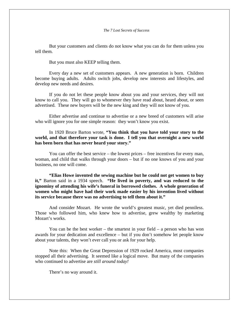But your customers and clients do not know what you can do for them unless you tell them.

But you must also KEEP telling them.

Every day a new set of customers appears. A new generation is born. Children become buying adults. Adults switch jobs, develop new interests and lifestyles, and develop new needs and desires.

If you do not let these people know about you and your services, they will not know to call you. They will go to whomever they have read about, heard about, or seen advertised. These new buyers will be the new king and they will not know of you.

Either advertise and continue to advertise or a new breed of customers will arise who will ignore you for one simple reason: they won't know you exist.

In 1920 Bruce Barton wrote, **"You think that you have told your story to the world, and that therefore your task is done. I tell you that overnight a new world has been born that has never heard your story."** 

You can offer the best service – the lowest prices – free incentives for every man, woman, and child that walks through your doors – but if no one knows of you and your business, no one will come.

**"Elias Howe invented the sewing machine but he could not get women to buy it,"** Barton said in a 1934 speech. **"He lived in poverty, and was reduced to the ignominy of attending his wife's funeral in borrowed clothes. A whole generation of women who might have had their work made easier by his invention lived without its service because there was no advertising to tell them about it."** 

And consider Mozart. He wrote the world's greatest music, yet died penniless. Those who followed him, who knew how to advertise, grew wealthy by marketing Mozart's works.

You can be the best worker – the smartest in your field – a person who has won awards for your dedication and excellence – but if you don't somehow let people know about your talents, they won't ever call you or ask for your help.

Note this: When the Great Depression of 1929 rocked America, most companies stopped all their advertising. It seemed like a logical move. But many of the companies who continued to advertise are *still around today!* 

There's no way around it.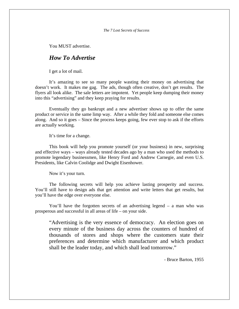You MUST advertise.

#### *How To Advertise*

I get a lot of mail.

It's amazing to see so many people wasting their money on advertising that doesn't work. It makes me gag. The ads, though often creative, don't get results. The flyers all look alike. The sale letters are impotent. Yet people keep dumping their money into this "advertising" and they keep praying for results.

Eventually they go bankrupt and a new advertiser shows up to offer the same product or service in the same limp way. After a while they fold and someone else comes along. And so it goes – Since the process keeps going, few ever stop to ask if the efforts are actually working.

It's time for a change.

This book will help you promote yourself (or your business) in new, surprising and effective ways – ways already tested decades ago by a man who used the methods to promote legendary businessmen, like Henry Ford and Andrew Carnegie, and even U.S. Presidents, like Calvin Coolidge and Dwight Eisenhower.

Now it's your turn.

The following secrets will help you achieve lasting prosperity and success. You'll still have to design ads that get attention and write letters that get results, but you'll have the edge over everyone else.

You'll have the forgotten secrets of an advertising legend – a man who was prosperous and successful in all areas of life – on your side.

"Advertising is the very essence of democracy. An election goes on every minute of the business day across the counters of hundred of thousands of stores and shops where the customers state their preferences and determine which manufacturer and which product shall be the leader today, and which shall lead tomorrow."

- Bruce Barton, 1955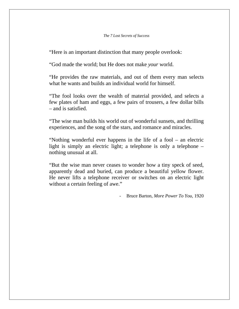"Here is an important distinction that many people overlook:

"God made the world; but He does not make *your* world.

"He provides the raw materials, and out of them every man selects what he wants and builds an individual world for himself.

"The fool looks over the wealth of material provided, and selects a few plates of ham and eggs, a few pairs of trousers, a few dollar bills – and is satisfied.

"The wise man builds his world out of wonderful sunsets, and thrilling experiences, and the song of the stars, and romance and miracles.

"Nothing wonderful ever happens in the life of a fool – an electric light is simply an electric light; a telephone is only a telephone – nothing unusual at all.

"But the wise man never ceases to wonder how a tiny speck of seed, apparently dead and buried, can produce a beautiful yellow flower. He never lifts a telephone receiver or switches on an electric light without a certain feeling of awe."

- Bruce Barton, *More Power To You,* 1920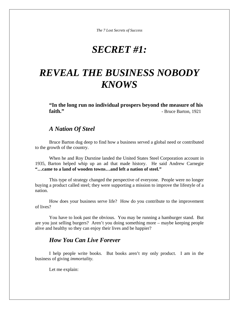# *SECRET #1:*

# *REVEAL THE BUSINESS NOBODY KNOWS*

**"In the long run no individual prospers beyond the measure of his faith." Faith. faith. faith. faith. faith. faith. f** 

## *A Nation Of Steel*

Bruce Barton dug deep to find how a business served a global need or contributed to the growth of the country.

When he and Roy Durstine landed the United States Steel Corporation account in 1935, Barton helped whip up an ad that made history. He said Andrew Carnegie **"…came to a land of wooden towns…and left a nation of steel."** 

This type of strategy changed the perspective of everyone. People were no longer buying a product called steel; they were supporting a mission to improve the lifestyle of a nation.

How does your business serve life? How do you contribute to the improvement of lives?

You have to look past the obvious. You may be running a hamburger stand. But are you just selling burgers? Aren't you doing something more – maybe keeping people alive and healthy so they can enjoy their lives and be happier?

## *How You Can Live Forever*

I help people write books. But books aren't my only product. I am in the business of giving *immortality.* 

Let me explain: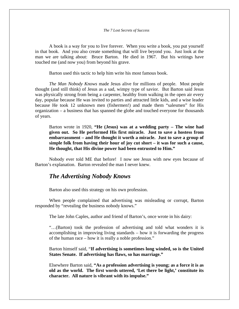A book is a way for you to live forever. When you write a book, you put yourself in that book. And you also create something that will live beyond you. Just look at the man we are talking about: Bruce Barton. He died in 1967. But his writings have touched me (and now you) from beyond his grave.

Barton used this tactic to help him write his most famous book.

*The Man Nobody Knows* made Jesus alive for millions of people. Most people thought (and still think) of Jesus as a sad, wimpy type of savior. But Barton said Jesus was physically strong from being a carpenter, healthy from walking in the open air every day, popular because He was invited to parties and attracted little kids, and a wise leader because He took 12 unknown men (fishermen!) and made them "salesmen" for His organization – a business that has spanned the globe and touched everyone for thousands of years.

Barton wrote in 1920, **"He (Jesus) was at a wedding party – The wine had given out. So He performed His first miracle. Just to save a hostess from embarrassment – and He thought it worth a miracle. Just to save a group of simple folk from having their hour of joy cut short – it was for such a cause, He thought, that His divine power had been entrusted to Him."** 

Nobody ever told ME that before! I now see Jesus with new eyes because of Barton's explanation. Barton revealed the man I never knew.

#### *The Advertising Nobody Knows*

Barton also used this strategy on his own profession.

When people complained that advertising was misleading or corrupt, Barton responded by "revealing the business nobody knows."

The late John Caples, author and friend of Barton's, once wrote in his dairy:

"…(Barton) took the profession of advertising and told what wonders it is accomplishing in improving living standards – how it is forwarding the progress of the human race – how it is really a noble profession."

Barton himself said, "**If advertising is sometimes long winded, so is the United States Senate. If advertising has flaws, so has marriage."** 

Elsewhere Barton said, **"As a profession advertising is young; as a force it is as old as the world. The first words uttered, 'Let there be light,' constitute its character. All nature is vibrant with its impulse."**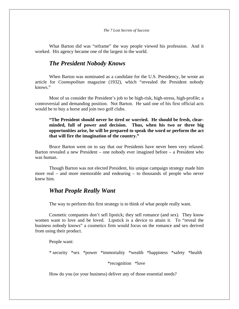What Barton did was "reframe" the way people viewed his profession. And it worked. His agency became one of the largest in the world.

#### *The President Nobody Knows*

When Barton was nominated as a candidate for the U.S. Presidency, he wrote an article for *Cosmopolitan* magazine (1932), which "revealed the President nobody knows."

Most of us consider the President's job to be high-risk, high-stress, high-profile; a controversial and demanding position. Not Barton. He said one of his first official acts would be to buy a horse and join two golf clubs.

**"The President should never be tired or worried. He should be fresh, clearminded, full of power and decision. Thus, when his two or three big opportunities arise, he will be prepared to speak the word or perform the act that will fire the imagination of the country."** 

Bruce Barton went on to say that our Presidents have never been very relaxed. Barton revealed a new President – one nobody ever imagined before – a President who was human.

Though Barton was not elected President, his unique campaign strategy made him more real – and more memorable and endearing – to thousands of people who never knew him.

#### *What People Really Want*

The way to perform this first strategy is to think of what people really want.

Cosmetic companies don't sell lipstick; they sell romance (and sex). They know women want to love and be loved. Lipstick is a device to attain it. To "reveal the business nobody knows" a cosmetics firm would focus on the romance and sex derived from using their product.

People want:

\* security \*sex \*power \*immortality \*wealth \*happiness \*safety \*health

\*recognition \*love

How do you (or your business) deliver any of those essential needs?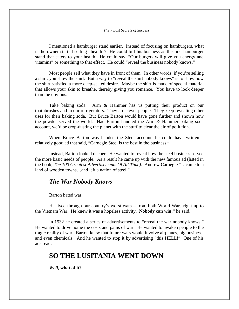I mentioned a hamburger stand earlier. Instead of focusing on hamburgers, what if the owner started selling "health"? He could bill his business as the first hamburger stand that caters to your health. He could say, "Our burgers will give you energy and vitamins" or something to that effect. He could "reveal the business nobody knows."

Most people sell what they have in front of them. In other words, if you're selling a shirt, you show the shirt. But a way to "reveal the shirt nobody knows" is to show how the shirt satisfied a more deep-seated desire. Maybe the shirt is made of special material that allows your skin to breathe, thereby giving you romance. You have to look deeper than the obvious.

Take baking soda. Arm & Hammer has us putting their product on our toothbrushes and in our refrigerators. They are clever people. They keep revealing other uses for their baking soda. But Bruce Barton would have gone further and shown how the powder served the world. Had Barton handled the Arm & Hammer baking soda account, we'd be crop-dusting the planet with the stuff to clear the air of pollution.

When Bruce Barton was handed the Steel account, he could have written a relatively good ad that said, "Carnegie Steel is the best in the business."

Instead, Barton looked deeper. He wanted to reveal how the steel business served the more basic needs of people. As a result he came up with the new famous ad (listed in the book, *The 100 Greatest Advertisements Of All Time)*: Andrew Carnegie "…came to a land of wooden towns…and left a nation of steel."

#### *The War Nobody Knows*

Barton hated war.

He lived through our country's worst wars – from both World Wars right up to the Vietnam War. He knew it was a hopeless activity. **Nobody can win,"** he said.

In 1932 he created a series of advertisements to "reveal the war nobody knows." He wanted to drive home the costs and pains of war. He wanted to awaken people to the tragic reality of war. Barton knew that future wars would involve airplanes, big business, and even chemicals. And he wanted to stop it by advertising "this HELL!" One of his ads read:

# **SO THE LUSITANIA WENT DOWN**

*Well,* **what of it?**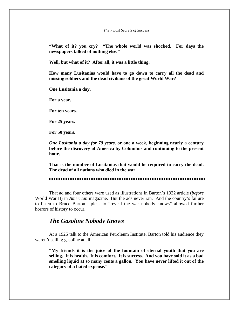**"What of it? you cry? "The whole world was shocked. For days the newspapers talked of nothing else."** 

**Well, but what of it? After all, it was a little thing.** 

**How many Lusitanias would have to go down to carry all the dead and missing soldiers and the dead civilians of the great World War?** 

**One Lusitania a day.** 

**For a year.** 

**For ten years.** 

**For 25 years.** 

**For 50 years.** 

*One Lusitania a day for 70 years,* **or one a week, beginning nearly a century before the discovery of America by Columbus and continuing to the present hour.** 

**That is the number of Lusitanias that would be required to carry the dead. The dead of all nations who died in the war.** 

That ad and four others were used as illustrations in Barton's 1932 article (*before* World War II) in *American* magazine. But the ads never ran. And the country's failure to listen to Bruce Barton's pleas to "reveal the war nobody knows" allowed further horrors of history to occur.

#### *The Gasoline Nobody Knows*

At a 1925 talk to the American Petroleum Institute, Barton told his audience they weren't selling gasoline at all.

**"My friends it is the juice of the fountain of eternal youth that you are selling. It is health. It is comfort. It is success. And you have sold it as a bad smelling liquid at so many cents a gallon. You have never lifted it out of the category of a hated expense."**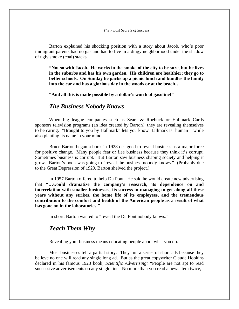Barton explained his shocking position with a story about Jacob, who's poor immigrant parents had no gas and had to live in a dingy neighborhood under the shadow of ugly smoke (coal) stacks.

**"Not so with Jacob. He works in the smoke of the city to be sure, but he lives in the suburbs and has his own garden. His children are healthier; they go to better schools. On Sunday he packs up a picnic lunch and bundles the family into the car and has a glorious day in the woods or at the beach…** 

**"And all this is made possible by a dollar's worth of gasoline!"** 

#### *The Business Nobody Knows*

When big league companies such as Sears & Roebuck or Hallmark Cards sponsors television programs (an idea created by Barton), they are revealing themselves to be caring. "Brought to you by Hallmark" lets you know Hallmark is human – while also planting its name in your mind.

Bruce Barton began a book in 1928 designed to reveal business as a major force for positive change. Many people fear or flee business because they think it's corrupt. Sometimes business *is* corrupt. But Barton saw business shaping society and helping it grow. Barton's book was going to "reveal the business nobody knows." (Probably due to the Great Depression of 1929, Barton shelved the project.)

In 1957 Barton offered to help Du Pont. He said he would create new advertising that **"…would dramatize the company's research, its dependence on and interrelation with smaller businesses, its success in managing to get along all these years without any strikes, the home life of its employees, and the tremendous contribution to the comfort and health of the American people as a result of what has gone on in the laboratories."** 

In short, Barton wanted to "reveal the Du Pont nobody knows."

#### *Teach Them Why*

Revealing your business means educating people about what you do.

Most businesses tell a partial story. They run a series of short ads because they believe no one will read any single long ad. But as the great copywriter Claude Hopkins declared in his famous 1923 book, *Scientific Advertising:* "People are not apt to read successive advertisements on any single line. No more than you read a news item twice,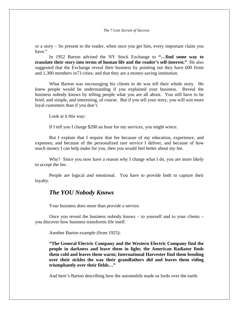or a story – So present to the reader, when once you get him, every important claim you have."

In 1952 Barton advised the NY Stock Exchange to **"…find some way to translate their story into terms of human life and the reader's self-interest."** He also suggested that the Exchange reveal their business by pointing out they have 600 firms and 1,300 members in73 cities; and that they are a money-saving institution.

What Barton was encouraging his clients to do was tell their whole story. He knew people would be understanding if you explained your business. Reveal the business nobody knows by telling people what you are all about. You still have to be brief, and simple, and interesting, of course. But if you tell your story, you will win more loyal customers than if you don't.

Look at it this way:

If I tell you I charge \$200 an hour for my services, you might wince.

But I explain that I require that fee because of my education, experience, and expenses; and because of the personalized rare service I deliver, and because of how much money I can help make for you, then you would feel better about my fee.

Why? Since you now have a reason why I charge what I do, you are more likely to accept the fee.

People are logical *and* emotional. You have to provide both to capture their loyalty.

#### *The YOU Nobody Knows*

Your business does more than provide a service.

Once you reveal the business nobody knows – to yourself and to your clients – you discover how business transforms life itself.

Another Barton example (from 1925):

**"The General Electric Company and the Western Electric Company find the people in darkness and leave them in light; the American Radiator finds them cold and leaves them warm; International Harvester find them bending over their sickles the way their grandfathers did and leaves them riding triumphantly over their fields…"** 

And here's Barton describing how the automobile made us lords over the earth: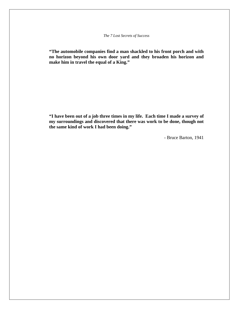**"The automobile companies find a man shackled to his front porch and with no horizon beyond his own door yard and they broaden his horizon and make him in travel the equal of a King."** 

**"I have been out of a job three times in my life. Each time I made a survey of my surroundings and discovered that there was work to be done, though not the same kind of work I had been doing."** 

- Bruce Barton, 1941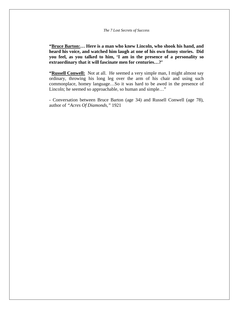**"Bruce Barton:… Here is a man who knew Lincoln, who shook his hand, and heard his voice, and watched him laugh at one of his own funny stories. Did you feel, as you talked to him, 'I am in the presence of a personality so extraordinary that it will fascinate men for centuries…?'** 

**"Russell Conwell:** Not at all. He seemed a very simple man, I might almost say ordinary, throwing his long leg over the arm of his chair and using such commonplace, homey language…So it was hard to be awed in the presence of Lincoln; he seemed so approachable, so human and simple…"

- Conversation between Bruce Barton (age 34) and Russell Conwell (age 78), author of *"Acres Of Diamonds,"* 1921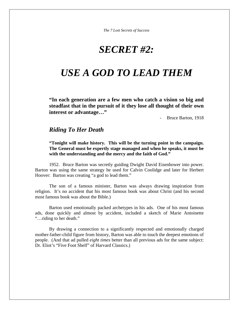# *SECRET #2:*

# *USE A GOD TO LEAD THEM*

**"In each generation are a few men who catch a vision so big and steadfast that in the pursuit of it they lose all thought of their own interest or advantage…"** 

Bruce Barton, 1918

# *Riding To Her Death*

**"Tonight will make history. This will be the turning point in the campaign. The General must be expertly stage managed and when he speaks, it must be with the understanding and the mercy and the faith of God."** 

1952. Bruce Barton was secretly guiding Dwight David Eisenhower into power. Barton was using the same strategy he used for Calvin Coolidge and later for Herbert Hoover: Barton was creating "a god to lead them."

The son of a famous minister, Barton was always drawing inspiration from religion. It's no accident that his most famous book was about Christ (and his second most famous book was about the Bible.)

Barton used emotionally packed archetypes in his ads. One of his most famous ads, done quickly and almost by accident, included a sketch of Marie Antoinette "…riding to her death."

By drawing a connection to a significantly respected and emotionally charged mother-father-child figure from history, Barton was able to touch the deepest emotions of people. (And that ad pulled *eight times* better than all previous ads for the same subject: Dr. Eliot's "Five Foot Shelf" of Harvard Classics.)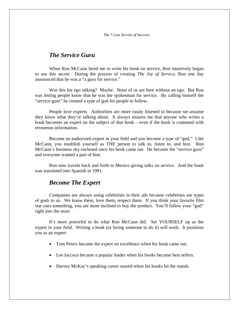# *The Service Guru*

When Ron McCann hired me to write his book on service, Ron intuitively began to use this secret. During the process of creating *The Joy of Service,* Ron one day announced that he was a "a guru for service."

Was this his ego talking? Maybe. None of us are here without an ego. But Ron was letting people know that he was the spokesman for service. By calling himself the "service guru" he created a type of god for people to follow.

People love experts. Authorities are more easily listened to because we assume they know what they're talking about. It always amazes me that anyone who writes a book becomes an expert on the subject of that book – even if the book is crammed with erroneous information.

Become an authorized expert in your field and you become a type of "god." Like McCann, you establish yourself as THE person to talk to, listen to, and hire. Ron McCann's business sky-rocketed once his book came out. He became the "service guru" and everyone wanted a part of him.

Ron now travels back and forth to Mexico giving talks on service. And the book was translated into Spanish in 1991.

# *Become The Expert*

Companies are always using celebrities in their ads because celebrities are types of gods to us. We know them, love them, respect them. If you think your favorite film star uses something, you are more inclined to buy the product. You'll follow your "god" right into the store.

It's more powerful to do what Ron McCann did. Set YOURSELF up as the expert in your field. Writing a book (or hiring someone to do it) will work. It positions you as an expert:

- Tom Peters became the expert on excellence when his book came out.
- Lee Iaccoca became a popular leader when his books became best sellers.
- Harvey McKay's speaking career soared when his books hit the stands.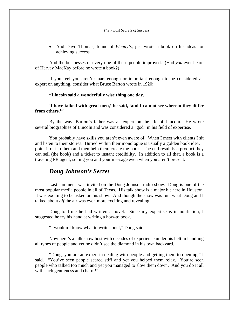• And Dave Thomas, found of *Wendy's,* just wrote a book on his ideas for achieving success.

And the businesses of every one of these people improved. (Had *you* ever heard of Harvey MacKay before he wrote a book?)

If you feel you aren't smart enough or important enough to be considered an expert on anything, consider what Bruce Barton wrote in 1920:

#### **"Lincoln said a wonderfully wise thing one day.**

**'I have talked with great men,' he said, 'and I cannot see wherein they differ**  from others."

By the way, Barton's father was an expert on the life of Lincoln. He wrote several biographies of Lincoln and was considered a "god" in his field of expertise.

You probably have skills you aren't even aware of. When I meet with clients I sit and listen to their stories. Buried within their monologue is usually a golden book idea. I point it out to them and then help them create the book. The end result is a product they can sell (the book) and a ticket to instant credibility. In addition to all that, a book is a traveling PR agent, selling you and your message even when you aren't present.

# *Doug Johnson's Secret*

Last summer I was invited on the Doug Johnson radio show. Doug is one of the most popular media people in all of Texas. His talk show is a major hit here in Houston. It was exciting to be asked on his show. And though the show was fun, what Doug and I talked about *off* the air was even more exciting and revealing.

Doug told me he had written a novel. Since my expertise is in nonfiction, I suggested he try his hand at writing a how-to book.

"I wouldn't know what to write about," Doug said.

Now here's a talk show host with decades of experience under his belt in handling all types of people and yet he didn't see the diamond in his own backyard.

"Doug, you are an expert in dealing with people and getting them to open up," I said. "You've seen people scared stiff and yet you helped them relax. You're seen people who talked too much and yet you managed to slow them down. And you do it all with such gentleness and charm!"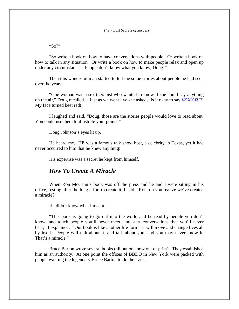"So?"

"So write a book on how to have conversations with people. Or write a book on how to talk in any situation. Or write a book on how to make people relax and open up under any circumstances. People don't know what you know, Doug!"

Then this wonderful man started to tell me some stories about people he had seen over the years.

"One woman was a sex therapist who wanted to know if she could say anything on the air," Doug recalled. "Just as we went live she asked, 'Is it okay to say *[!@X%\\$!](mailto:!@X%$)!?*' My face turned beet red!"

I laughed and said, "Doug, those are the stories people would love to read about. You could use them to illustrate your points."

Doug Johnson's eyes lit up.

He heard me. HE was a famous talk show host, a celebrity in Texas, yet it had never occurred to him that he knew anything!

His expertise was a secret he kept from himself.

# *How To Create A Miracle*

When Ron McCann's book was off the press and he and I were sitting in his office, resting after the long effort to create it, I said, "Ron, do you realize we've created a miracle?"

He didn't know what I meant.

"This book is going to go out into the world and be read by people you don't know, and touch people you'll never meet, and start conversations that you'll never hear," I explained. "Our book is like another life form. It will move and change lives all by itself. People will talk about it, and talk about you, and you may never know it. That's a miracle."

Bruce Barton wrote several books (all but one now out of print). They established him as an authority. At one point the offices of BBDO in New York were packed with people wanting the legendary Bruce Barton to do their ads.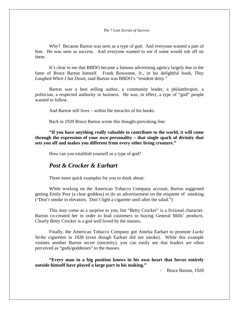Why? Because Barton was seen as a type of god. And everyone wanted a part of him. He was seen as success. And everyone wanted to see if some would rub off on them.

It's clear to me that BBDO became a famous advertising agency largely due to the fame of Bruce Barton himself. Frank Rowsome, Jr., in his delightful book, *They Laughed When I Sat Down*, said Barton was BBDO's "resident deity."

Barton was a best selling author, a community leader, a philanthropist, a politician, a respected authority in business. He was, in effect, a type of "god" people wanted to follow.

And Barton still lives – within the miracles of his books.

Back in 1920 Bruce Barton wrote this thought-provoking line:

**"If you have anything really valuable to contribute to the world, it will come through the expression of your own personality – that single spark of divinity that sets you off and makes you different from every other living creature."** 

How can you establish yourself as a type of god?

# *Post & Crocker & Earhart*

Three more quick examples for you to think about:

While working on the American Tobacco Company account, Barton suggested getting Emily Post (a clear goddess) to do an advertisement on the etiquette of smoking ("Don't smoke in elevators. Don't light a cigarette until after the salad.")

This may come as a surprise to you, but "Betty Crocker" is a fictional character. Barton co-created her in order to lead customers to buying General Mills' products. Clearly Betty Crocker is a god well loved by the masses.

Finally, the American Tobacco Company got Amelia Earhart to promote *Lucky Strike* cigarettes in 1928 (even though Earhart did not smoke). While this example violates another Barton secret (sincerity), you can easily see that leaders are often perceived as "gods/goddesses" to the masses.

**"Every man in a big position knows in his own heart that forces entirely outside himself have played a large part in his making."** 

Bruce Barton, 1928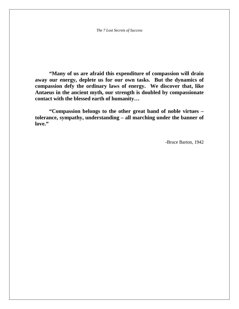**"Many of us are afraid this expenditure of compassion will drain away our energy, deplete us for our own tasks. But the dynamics of compassion defy the ordinary laws of energy. We discover that, like Antaeus in the ancient myth, our strength is doubled by compassionate contact with the blessed earth of humanity…** 

 **"Compassion belongs to the other great band of noble virtues – tolerance, sympathy, understanding – all marching under the banner of**  love."

-Bruce Barton, 1942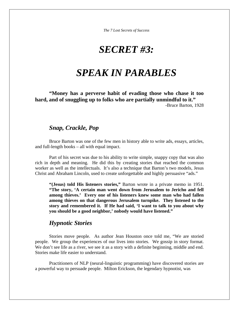# *SECRET #3:*

# *SPEAK IN PARABLES*

**"Money has a perverse habit of evading those who chase it too hard, and of snuggling up to folks who are partially unmindful to it."**  -Bruce Barton, 1928

# *Snap, Crackle, Pop*

Bruce Barton was one of the few men in history able to write ads, essays, articles, and full-length books – all with equal impact.

Part of his secret was due to his ability to write simple, snappy copy that was also rich in depth and meaning. He did this by creating stories that reached the common worker as well as the intellectuals. It's also a technique that Barton's two models, Jesus Christ and Abraham Lincoln, used to create unforgettable and highly persuasive "ads."

**"(Jesus) told His listeners stories,"** Barton wrote in a private memo in 1951. **"The story, 'A certain man went down from Jerusalem to Jericho and fell among thieves.' Every one of his listeners knew some man who had fallen among thieves on that dangerous Jerusalem turnpike. They listened to the story and remembered it. If He had said, 'I want to talk to you about why you should be a good neighbor,' nobody would have listened."** 

### *Hypnotic Stories*

Stories move people. As author Jean Houston once told me, "We are storied people. We group the experiences of our lives into stories. We gossip in story format. We don't see life as a river, we see it as a story with a definite beginning, middle and end. Stories make life easier to understand.

Practitioners of NLP (neural-linguistic programming) have discovered stories are a powerful way to persuade people. Milton Erickson, the legendary hypnotist, was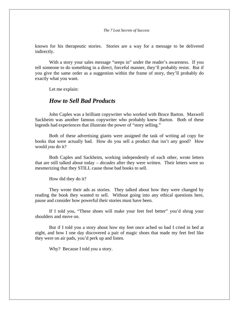known for his therapeutic stories. Stories are a way for a message to be delivered indirectly.

 With a story your sales message "seeps in" under the reader's awareness. If you tell someone to do something in a direct, forceful manner, they'll probably resist. But if you give the same order as a suggestion within the frame of story, they'll probably do exactly what you want.

Let me explain:

# *How to Sell Bad Products*

John Caples was a brilliant copywriter who worked with Bruce Barton. Maxwell Sackheim was another famous copywriter who probably knew Barton. Both of these legends had experiences that illustrate the power of "story selling."

Both of these advertising giants were assigned the task of writing ad copy for books that were actually bad. How do you sell a product that isn't any good? How would *you* do it?

Both Caples and Sackheim, working independently of each other, wrote letters that are still talked about today – *decades* after they were written. Their letters were so mesmerizing that they STILL cause those bad books to sell.

How did they do it?

They wrote their ads as stories. They talked about how they were changed by reading the book they wanted to sell. Without going into any ethical questions here, pause and consider how powerful their stories must have been.

If I told you, "These shoes will make your feet feel better" you'd shrug your shoulders and move on.

But if I told you a story about how my feet once ached so bad I cried in bed at night, and how I one day discovered a pair of magic shoes that made my feet feel like they were on air pads, you'd perk up and listen.

Why? Because I told you a story.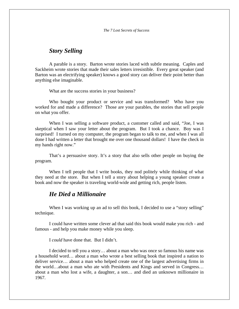# *Story Selling*

A parable is a story. Barton wrote stories laced with subtle meaning. Caples and Sackheim wrote stories that made their sales letters irresistible. Every great speaker (and Barton was an electrifying speaker) knows a good story can deliver their point better than anything else imaginable.

What are the success stories in your business?

Who bought your product or service and was transformed? Who have you worked for and made a difference? Those are your parables, the stories that sell people on what you offer.

When I was selling a software product, a customer called and said, "Joe, I was skeptical when I saw your letter about the program. But I took a chance. Boy was I surprised! I turned on my computer, the program began to talk to me, and when I was all done I had written a letter that brought me over one thousand dollars! I have the check in my hands right now."

That's a persuasive story. It's a story that also sells other people on buying the program.

When I tell people that I write books, they nod politely while thinking of what they need at the store. But when I tell a story about helping a young speaker create a book and now the speaker is traveling world-wide and getting rich, people listen.

# *He Died a Millionaire*

When I was working up an ad to sell this book, I decided to use a "story selling" technique.

I could have written some clever ad that said this book would make you rich - and famous - and help you make money while you sleep.

I *could* have done that. But I didn't.

I decided to tell you a story… about a man who was once so famous his name was a household word… about a man who wrote a best selling book that inspired a nation to deliver service… about a man who helped create one of the largest advertising firms in the world…about a man who ate with Presidents and Kings and served in Congress… about a man who lost a wife, a daughter, a son… and died an unknown millionaire in 1967.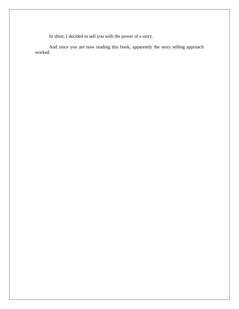In short, I decided to sell you with the power of a story.

And since you are now reading this book, apparently the story selling approach worked.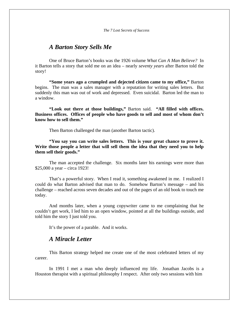# *A Barton Story Sells Me*

One of Bruce Barton's books was the 1926 volume *What Can A Man Believe?* In it Barton tells a story that sold me on an idea – nearly *seventy years* after Barton told the story!

**"Some years ago a crumpled and dejected citizen came to my office,"** Barton begins. The man was a sales manager with a reputation for writing sales letters. But suddenly this man was out of work and depressed. Even suicidal. Barton led the man to a window.

**"Look out there at those buildings,"** Barton said. **"All filled with offices. Business offices. Offices of people who have goods to sell and most of whom don't know how to sell them."** 

Then Barton challenged the man (another Barton tactic).

**"You say you can write sales letters. This is your great chance to prove it. Write those people a letter that will sell them the idea that they need you to help them sell their goods."** 

The man accepted the challenge. Six months later his earnings were more than \$25,000 a year – circa 1923!

That's a powerful story. When I read it, something awakened in me. I realized I could do what Barton advised that man to do. Somehow Barton's message – and his challenge – reached across seven decades and out of the pages of an old book to touch me today.

And months later, when a young copywriter came to me complaining that he couldn't get work, I led him to an open window, pointed at all the buildings outside, and told him the story I just told you.

It's the power of a parable. And it works.

# *A Miracle Letter*

 This Barton strategy helped me create one of the most celebrated letters of my career.

 In 1991 I met a man who deeply influenced my life. Jonathan Jacobs is a Houston therapist with a spiritual philosophy I respect. After only two sessions with him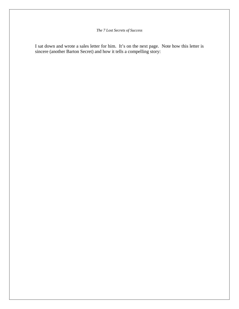I sat down and wrote a sales letter for him. It's on the next page. Note how this letter is sincere (another Barton Secret) and how it tells a compelling story: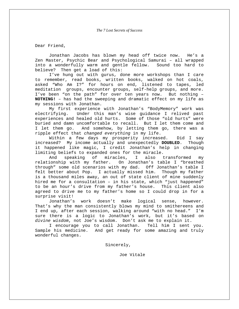Dear Friend,

 Jonathan Jacobs has blown my head off twice now. He's a Zen Master, Psychic Bear and Psychological Samurai – all wrapped into a wonderfully warm and gentle fellow. Sound too hard to believe? Then get a load of this:

 I've hung out with gurus, done more workshops than I care to remember, read books, written books, walked on hot coals, asked "Who Am I?" for hours on end, listened to tapes, led meditation groups, encounter groups, self-help groups, and more. I've been "on the path" for over ten years now. But nothing – **NOTHING!** – has had the sweeping and dramatic effect on my life as my sessions with Jonathan.

 My first experience with Jonathan's "BodyMemory" work was electrifying. Under this man's wise guidance I relived past experiences and healed old hurts. Some of those "old hurts" were buried and damn uncomfortable to recall. But I let them come and I let them go. And somehow, by letting them go, there was a ripple effect that *changed everything* in my life.

 Within a few days my prosperity increased. Did I say increased? My income actually and unexpectedly **DOUBLED**. Though it happened like magic, I credit Jonathan's help in changing limiting beliefs to expanded ones for the miracle.

And speaking of miracles, I also transformed my<br>relationship with my father. On Jonathan's table I "breathed On Jonathan's table I "breathed through" some old scenarios with my dad. Off Jonathan's table I felt better about Pop. I actually missed him. Though my father is a thousand miles away, an out of state client of mine suddenly hired me for a consultation – in his state, which "just happened" to be an hour's drive from my father's house. This client also agreed to drive me to my father's home so I could drop in for a surprise visit!

 Jonathan's work doesn't make logical sense, however. That's why the man consistently blows my mind to smithereens and I end up, after each session, walking around "with no head." I'm sure there is a logic to Jonathan's work, but it's based on *divine wisdom*, not Joe's wisdom. Don't ask me to explain it.

 I encourage you to call Jonathan. Tell him I sent you. Sample his medicine. And get ready for some amazing and truly wonderful changes.

Sincerely,

Joe Vitale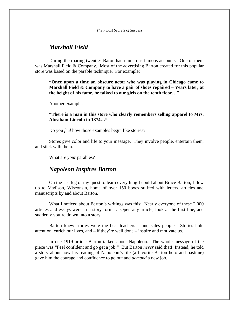# *Marshall Field*

 During the roaring twenties Baron had numerous famous accounts. One of them was Marshall Field & Company. Most of the advertising Barton created for this popular store was based on the parable technique. For example:

**"Once upon a time an obscure actor who was playing in Chicago came to Marshall Field & Company to have a pair of shoes repaired – Years later, at the height of his fame, he talked to our girls on the tenth floor…"** 

Another example:

**"There is a man in this store who clearly remembers selling apparel to Mrs. Abraham Lincoln in 1874…"** 

Do you *feel* how those examples begin like stories?

Stores give color and life to your message. They involve people, entertain them, and stick with them.

What are *your* parables?

# *Napoleon Inspires Barton*

On the last leg of my quest to learn everything I could about Bruce Barton, I flew up to Madison, Wisconsin, home of over 150 boxes stuffed with letters, articles and manuscripts by and about Barton.

What I noticed about Barton's writings was this: Nearly everyone of these 2,000 articles and essays were in a story format. Open any article, look at the first line, and suddenly you're drawn into a story.

Barton knew stories were the best teachers – and sales people. Stories hold attention, enrich our lives, and – if they're well done – inspire and motivate us.

In one 1919 article Barton talked about Napoleon. The whole message of the piece was "Feel confident and go get a job!" But Barton *never* said that! Instead, he told a story about how his reading of Napoleon's life (a favorite Barton hero and pastime) gave him the courage and confidence to go out and *demand* a new job.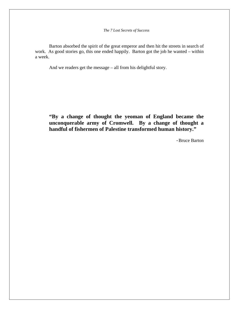Barton absorbed the spirit of the great emperor and then hit the streets in search of work. As good stories go, this one ended happily. Barton got the job he wanted – within a week.

And we readers get the message – all from his delightful story.

**"By a change of thought the yeoman of England became the unconquerable army of Cromwell. By a change of thought a handful of fishermen of Palestine transformed human history."** 

-Bruce Barton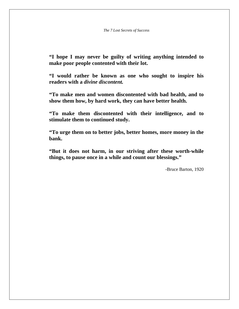**"I hope I may never be guilty of writing anything intended to make poor people contented with their lot.** 

**"I would rather be known as one who sought to inspire his readers with a** *divine discontent.*

**"To make men and women discontented with bad health, and to show them how, by hard work, they can have better health.** 

**"To make them discontented with their intelligence, and to stimulate them to continued study.** 

**"To urge them on to better jobs, better homes, more money in the bank.** 

**"But it does not harm, in our striving after these worth-while things, to pause once in a while and count our blessings."** 

-Bruce Barton, 1920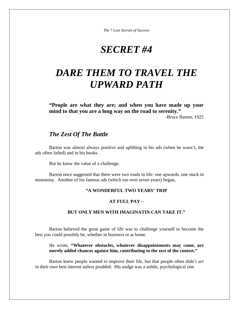# *SECRET #4*

# *DARE THEM TO TRAVEL THE UPWARD PATH*

**"People are what they are; and when you have made up your mind to that you are a long way on the road to serenity."** 

-Bruce Barton, 1925

# *The Zest Of The Battle*

Barton was almost always positive and uplifting in his ads (when he wasn't, the ads often failed) and in his books.

But he knew the value of a challenge.

Barton once suggested that there were two roads in life: one upwards, one stuck in monotony. Another of his famous ads (which ran over *seven* years) began,

#### **"A WONDERFUL TWO YEARS' TRIP**

#### **AT FULL PAY –**

#### **BUT ONLY MEN WITH IMAGINATIN CAN TAKE IT."**

Barton believed the great game of life was to challenge yourself to become the best you could possibly be, whether in business or at home.

#### He wrote, **"Whatever obstacles, whatever disappointments may come, are merely added chances against him, contributing to the zest of the contest."**

Barton knew people wanted to improve their life, but that people often didn't act in their own best interest unless prodded. His nudge was a subtle, psychological one.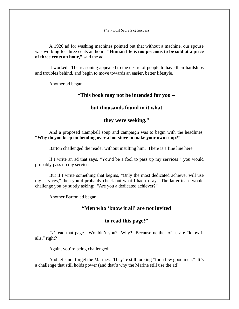A 1926 ad for washing machines pointed out that without a machine, our spouse was working for three cents an hour. **"Human life is too precious to be sold at a price of three cents an hour,"** said the ad.

It worked. The reasoning appealed to the desire of people to have their hardships and troubles behind, and begin to move towards an easier, better lifestyle.

Another ad began,

# **"This book may not be intended for you –**

### **but thousands found in it what**

### **they were seeking."**

And a proposed Campbell soup and campaign was to begin with the headlines, **"Why do you keep on bending over a hot stove to make your own soup?"** 

Barton challenged the reader without insulting him. There is a fine line here.

If I write an ad that says, "You'd be a fool to pass up my services!" you would probably pass up my services.

But if I write something that begins, "Only the most dedicated achiever will use my services," then you'd probably check out what I had to say. The latter tease would challenge you by subtly asking: "Are you a dedicated achiever?"

Another Barton ad began,

### **"Men who 'know it all' are not invited**

### **to read this page!"**

*I'd* read that page. Wouldn't you? Why? Because neither of us are "know it alls," right?

Again, you're being challenged.

And let's not forget the Marines. They're still looking "for a few good men." It's a challenge that still holds power (and that's why the Marine still use the ad).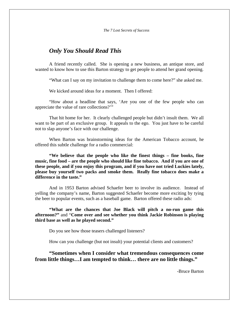# *Only You Should Read This*

A friend recently called. She is opening a new business, an antique store, and wanted to know how to use this Barton strategy to get people to attend her grand opening.

"What can I say on my invitation to challenge them to come here?" she asked me.

We kicked around ideas for a moment. Then I offered:

"How about a headline that says, 'Are you one of the few people who can appreciate the value of rare collections?'"

That hit home for her. It clearly challenged people but didn't insult them. We all want to be part of an exclusive group. It appeals to the ego. You just have to be careful not to slap anyone's face with our challenge.

When Barton was brainstorming ideas for the American Tobacco account, he offered this subtle challenge for a radio commercial:

**"We believe that the people who like the finest things – fine books, fine music, fine food – are the people who should like fine tobacco. And if you are one of these people, and if you enjoy this program, and if you have not tried Luckies lately, please buy yourself two packs and smoke them. Really fine tobacco does make a difference in the taste."** 

And in 1953 Barton advised Schaefer beer to involve its audience. Instead of yelling the company's name, Barton suggested Schaefer become more exciting by tying the beer to popular events, such as a baseball game. Barton offered these radio ads:

**"What are the chances that Joe Black will pitch a no-run game this afternoon?"** and "**Come over and see whether you think Jackie Robinson is playing third base as well as he played second."** 

Do you see how those teasers challenged listeners?

How can you challenge (but not insult) your potential clients and customers?

**"Sometimes when I consider what tremendous consequences come from little things…I am tempted to think… there are no little things."** 

-Bruce Barton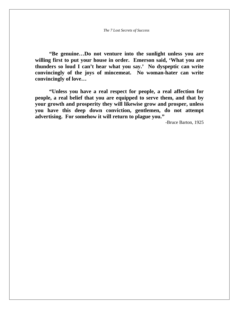**"Be genuine…Do not venture into the sunlight unless you are willing first to put your house in order. Emerson said, 'What you are thunders so loud I can't hear what you say.' No dyspeptic can write convincingly of the joys of mincemeat. No woman-hater can write convincingly of love…** 

**"Unless you have a real respect for people, a real affection for people, a real belief that you are equipped to serve them, and that by your growth and prosperity they will likewise grow and prosper, unless you have this deep down conviction, gentlemen, do not attempt advertising. For somehow it will return to plague you."** 

-Bruce Barton, 1925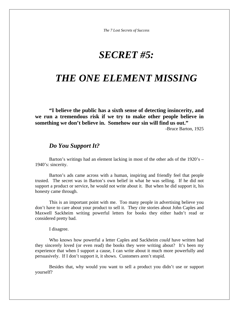# *SECRET #5:*

# *THE ONE ELEMENT MISSING*

**"I believe the public has a sixth sense of detecting insincerity, and we run a tremendous risk if we try to make other people believe in something we don't believe in. Somehow our sin will find us out."** 

-Bruce Barton, 1925

# *Do You Support It?*

Barton's writings had an element lacking in most of the other ads of the 1920's – 1940's: sincerity.

Barton's ads came across with a human, inspiring and friendly feel that people trusted. The secret was in Barton's own belief in what he was selling. If he did not support a product or service, he would not write about it. But when he did support it, his honesty came through.

This is an important point with me. Too many people in advertising believe you don't have to care about your product to sell it. They cite stories about John Caples and Maxwell Sackheim writing powerful letters for books they either hadn't read or considered pretty bad.

I disagree.

Who knows how powerful a letter Caples and Sackheim *could* have written had they sincerely loved (or even read) the books they were writing about? It's been my experience that when I support a cause, I can write about it much more powerfully and persuasively. If I don't support it, it shows. Customers aren't stupid.

Besides that, why would you want to sell a product you didn't use or support yourself?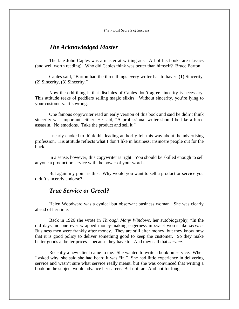# *The Acknowledged Master*

The late John Caples was a master at writing ads. All of his books are classics (and well worth reading). Who did Caples think was better than himself? Bruce Barton!

Caples said, "Barton had the three things every writer has to have: (1) Sincerity, (2) Sincerity, (3) Sincerity."

Now the odd thing is that disciples of Caples don't agree sincerity is necessary. This attitude reeks of peddlers selling magic elixirs. Without sincerity, you're lying to your customers. It's wrong.

One famous copywriter read an early version of this book and said he didn't think sincerity was important, either. He said, "A professional writer should be like a hired assassin. No emotions. Take the product and sell it."

I nearly choked to think this leading authority felt this way about the advertising profession. His attitude reflects what I don't like in business: insincere people out for the buck.

In a sense, however, this copywriter is right. You should be skilled enough to sell anyone a product or service with the power of your words.

But again my point is this: Why would you want to sell a product or service you didn't sincerely endorse?

### *True Service or Greed?*

Helen Woodward was a cynical but observant business woman. She was clearly ahead of her time.

Back in 1926 she wrote in *Through Many Windows,* her autobiography, "In the old days, no one ever wrapped money-making eagerness in sweet words like *service*. Business men were frankly after money. They are still after money, but they know now that it is good policy to deliver something good to keep the customer. So they make better goods at better prices – because they have to. And they call that *service.*

Recently a new client came to me. She wanted to write a book on service. When I asked why, she said she had heard it was "in." She had little experience in delivering service and wasn't sure what service really meant, but she was convinced that writing a book on the subject would advance her career. But not far. And not for long.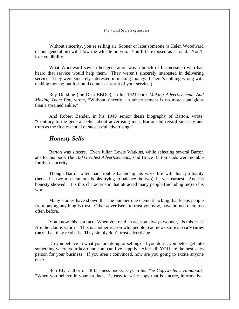Without sincerity, you're selling air. Sooner or later someone (a Helen Woodward of our generation) will blow the whistle on you. You'll be exposed as a fraud. You'll lose credibility.

What Woodward saw in her generation was a bunch of businessmen who had heard that service would help them. They weren't sincerely interested in delivering service. They were sincerely interested in making money. (There's nothing wrong with making money; but it should come as a result of your service.)

Roy Durstine (the D in BBDO), in his 1921 book *Making Advertisements And Making Them Pay,* wrote, "Without sincerity an advertisement is no more contagious than a sprained ankle."

And Robert Bender, in his 1949 senior thesis biography of Barton, wrote, "Contrary to the general belief about advertising men, Barton did regard sincerity and truth as the first essential of successful advertising."

# *Honesty Sells*

Barton was sincere. Even Julian Lewis Watkins, while selecting several Barton ads for his book *The 100 Greatest Advertisements,* said Bruce Barton's ads were notable for their sincerity.

Though Barton often had trouble balancing his work life with his spirituality (hence his two most famous books trying to balance the two), he was earnest. And his honesty showed. It is this characteristic that attracted many people (including me) to his works.

Many studies have shown that the number one element lacking that keeps people from buying anything is trust. Other advertisers, to trust you now, have burned them too often before.

You know this is a fact. When you read an ad, you always wonder, "Is this true? Are the claims valid?" This is another reason why people read news stories **5 to 9 times more** than they read ads. They simply don't trust advertising!

Do you believe in what you are doing or selling? If you don't, you better get into something where your heart and soul can live happily. After all, YOU are the best sales person for your business! If you aren't convinced, how are you going to excite anyone else?

Bob Bly, author of 18 business books, says in his *The Copywriter's Handbook,* "When you believe in your product, it's easy to write copy that is sincere, informative,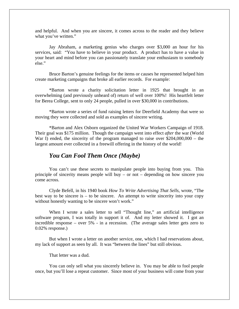and helpful. And when you are sincere, it comes across to the reader and they believe what you've written."

Jay Abraham, a marketing genius who charges over \$3,000 an hour for his services, said: "You have to believe in your product. A product has to have a value in your heart and mind before you can passionately translate your enthusiasm to somebody else."

Bruce Barton's genuine feelings for the items or causes he represented helped him create marketing campaigns that broke all earlier records. For example:

\*Barton wrote a charity solicitation letter in 1925 that brought in an overwhelming (and previously unheard of) return of well over 100%! His heartfelt letter for Berea College, sent to only 24 people, pulled in over \$30,000 in contributions.

\*Barton wrote a series of fund raising letters for Deerfield Academy that were so moving they were collected and sold as examples of sincere writing.

\*Barton and Alex Osborn organized the United War Workers Campaign of 1918. Their goal was \$175 million. Though the campaign went into effect *after* the war (World War I) ended, the sincerity of the program managed to raise over \$204,000,000 – the largest amount ever collected in a freewill offering in the history of the world!

### *You Can Fool Them Once (Maybe)*

You can't use these secrets to manipulate people into buying from you. This principle of sincerity means people will buy – or not – depending on how sincere you come across.

Clyde Befell, in his 1940 book *How To Write Advertising That Sells,* wrote, "The best way to be sincere is  $-$  to be sincere. An attempt to write sincerity into your copy without honestly wanting to be sincere won't work."

When I wrote a sales letter to sell "Thought line," an artificial intelligence software program, I was totally in support it of. And my letter showed it. I got an incredible response – over 5% - in a recession. (The average sales letter gets zero to 0.02% response.)

But when I wrote a letter on another service, one, which I had reservations about, my lack of support as seen by all. It was "between the lines" but still obvious.

That letter was a dud.

You can only sell what you sincerely believe in. You may be able to fool people once, but you'll lose a repeat customer. Since most of your business will come from your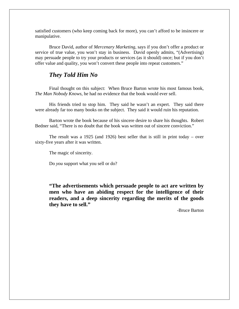satisfied customers (who keep coming back for more), you can't afford to be insincere or manipulative.

Bruce David, author of *Mercenary Marketing,* says if you don't offer a product or service of true value, you won't stay in business. David openly admits, "(Advertising) may persuade people to try your products or services (as it should) once; but if you don't offer value and quality, you won't convert these people into repeat customers."

# *They Told Him No*

Final thought on this subject: When Bruce Barton wrote his most famous book, *The Man Nobody Knows,* he had no evidence that the book would ever sell.

His friends tried to stop him. They said he wasn't an expert. They said there were already far too many books on the subject. They said it would ruin his reputation.

Barton wrote the book because of his sincere desire to share his thoughts. Robert Bedner said, "There is no doubt that the book was written out of sincere conviction."

The result was a 1925 (and 1926) best seller that is still in print today – over sixty-five years after it was written.

The magic of sincerity.

Do *you* support what you sell or do?

**"The advertisements which persuade people to act are written by men who have an abiding respect for the intelligence of their readers, and a deep sincerity regarding the merits of the goods they have to sell."** 

-Bruce Barton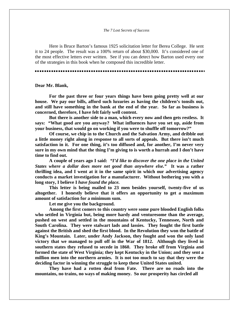Here is Bruce Barton's famous 1925 solicitation letter for Berea College. He sent it to 24 people. The result was a 100% return of about \$30,000. It's considered one of the most effective letters ever written. See if you can detect how Barton used every one of the strategies in this book when he composed this incredible letter.

#### **Dear Mr. Blank,**

 **For the past three or four years things have been going pretty well at our house. We pay our bills, afford such luxuries as having the children's tonsils out, and still have something in the bank at the end of the year. So far as business is concerned, therefore, I have felt fairly well content.** 

 **But there is another side to a man, which every now and then gets restless. It says: "What good are you anyway? What influences have you set up, aside from your business, that would go on working if you were to shuffle off tomorrow?"** 

 **Of course, we chip in to the Church and the Salvation Army, and dribble out a little money right along in response to all sorts of appeals. But there isn't much satisfaction in it. For one thing, it's too diffused and, for another, I'm never very sure in my own mind that the thing I'm giving to is worth a hurrah and I don't have time to find out.** 

 **A couple of years ago I said:** *"I'd like to discover the one place in the United States where a dollar does more net good than anywhere else."* **It was a rather thrilling idea, and I went at it in the same spirit in which our advertising agency conducts a market investigation for a manufacturer. Without bothering you with a long story, I believe I** *have found the place.* 

**This letter is being mailed to 23 men besides yourself, twenty-five of us altogether. I honestly believe that it offers an opportunity to get a maximum amount of satisfaction for a minimum sum.** 

 **Let me give you the background.** 

 **Among the first comers to this country were some pure blooded English folks who settled in Virginia but, being more hardy and venturesome than the average, pushed on west and settled in the mountains of Kentucky, Tennessee, North and South Carolina. They were stalwart lads and lassies. They fought the first battle against the British and shed the first blood. In the Revolution they won the battle of King's Mountain. Later, under Andy Jackson, they fought and won the only land victory that we managed to pull off in the War of 1812. Although they lived in southern states they refused to secede in 1860. They broke off from Virginia and formed the state of West Virginia; they kept Kentucky in the Union; and they sent a million men into the northern armies. It is not too much to say that they were the deciding factor in winning the struggle to keep these United States united.** 

 **They have had a rotten deal from Fate. There are no roads into the mountains, no trains, no ways of making money. So our prosperity has circled all**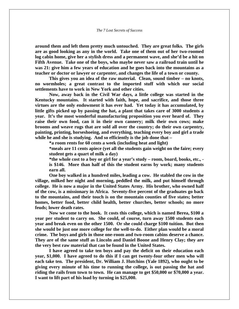**around them and left them pretty much untouched. They are great folks. The girls are as good looking as any in the world. Take one of them out of her two-roomed log cabin home, give her a stylish dress and a permanent wave, and she'd be a hit on Fifth Avenue. Take one of the boys, who maybe never saw a railroad train until he was 21: give him a few years of education and he goes back into the mountains as a teacher or doctor or lawyer or carpenter, and changes the life of a town or county.** 

 **This gives you an idea of the raw material. Clean, sound timber – no knots, no wormholes; a great contrast to the imported stuff with which our social settlements have to work in New York and other cities.** 

 **Now, away back in the Civil War days, a little college was started in the Kentucky mountains. It started with faith, hope, and sacrifice, and those three virtues are the only endowment it has ever had. Yet today it has accumulated, by little gifts picked up by passing the hat, a plant that takes care of 3000 students a year. It's the most wonderful manufacturing proposition you ever heard of. They raise their own food, can it in their own cannery; milk their own cows; make brooms and weave rugs that are sold all over the country; do their own carpentry, painting, printing, horseshoeing, and everything, teaching every boy and girl a trade while he and she is studying. And so efficiently is the job done that –** 

 **\*a room rents for 60 cents a week (including heat and light)** 

**\*meals are 11 cents apiece (yet all the students gain weight on the faire; every student gets a quart of milk a day)** 

**\*the whole cost to a boy or girl for a year's study – room, board, books, etc., is \$146. More than half of this the student earns by work; many students earn all.** 

**One boy walked in a hundred miles, leading a cow. He stabled the cow in the village, milked her night and morning, peddled the milk, and put himself through college. He is now a major in the United States Army. His brother, who owned half of the cow, is a missionary in Africa. Seventy-five percent of the graduates go back to the mountains, and their touch is on the mountain counties of five states; better homes, better food, better child health, better churches, better schools; no more feuds; lower death rates.** 

**Now we come to the hook. It costs this college, which is named Berea, \$100 a year per student to carry on. She could, of course, turn away 1500 students each year and break even on the other 1500. Or she could charge \$100 tuition. But then she would be just one more college for the well-to-do. Either plan would be a moral crime. The boys and girls in those one-room and two-room cabins deserve a chance. They are of the same stuff as Lincoln and Daniel Boone and Henry Clay; they are the very best raw material that can be found in the United States.** 

**I have agreed to take ten boys and pay the deficit on their education each year, \$1,000. I have agreed to do this if I can get twenty-four other men who will each take ten. The president, Dr. William J. Hutchins (Yale 1892), who ought to be giving every minute of his time to running the college, is out passing the hat and riding the rails from town to town. He can manage to get \$50,000 or \$70,000 a year. I want to lift part of his load by turning in \$25,000.**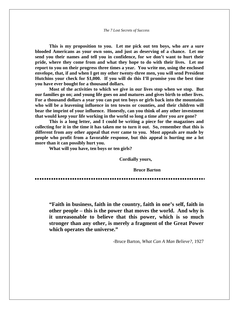**This is my proposition to you. Let me pick out ten boys, who are a sure blooded Americans as your own sons, and just as deserving of a chance. Let me send you their names and tell you in confidence, for we don't want to hurt their pride, where they come from and what they hope to do with their lives. Let me report to you on their progress three times a year. You write me, using the enclosed envelope, that, if and when I get my other twenty-three men, you will send President Hutchins your check for \$1,000. If you will do this I'll promise you the best time you have ever bought for a thousand dollars.** 

**Most of the activities to which we give in our lives stop when we stop. But our families go on; and young life goes on and matures and gives birth to other lives. For a thousand dollars a year you can put ten boys or girls back into the mountains who will be a leavening influence in ten towns or counties, and their children will bear the imprint of your influence. Honestly, can you think of any other investment that would keep your life working in the world so long a time after you are gone?** 

**This is a long letter, and I could be writing a piece for the magazines and collecting for it in the time it has taken me to turn it out. So, remember that this is different from any other appeal that ever came to you. Most appeals are made by people who profit from a favorable response, but this appeal is hurting me a lot more than it can possibly hurt you.** 

**What will you have, ten boys or ten girls?** 

 **Cordially yours,** 

 **Bruce Barton** 

.....................

**"Faith in business, faith in the country, faith in one's self, faith in other people – this is the power that moves the world. And why is it unreasonable to believe that this power, which is so much stronger than any other, is merely a fragment of the Great Power which operates the universe."** 

-Bruce Barton, *What Can A Man Believe?,* 1927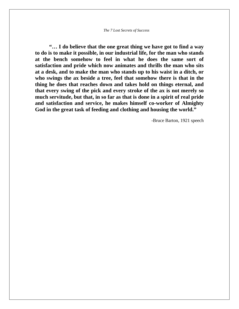**"… I do believe that the one great thing we have got to find a way to do is to make it possible, in our industrial life, for the man who stands at the bench somehow to feel in what he does the same sort of satisfaction and pride which now animates and thrills the man who sits at a desk, and to make the man who stands up to his waist in a ditch, or who swings the ax beside a tree, feel that somehow there is that in the thing he does that reaches down and takes hold on things eternal, and that every swing of the pick and every stroke of the ax is not merely so much servitude, but that, in so far as that is done in a spirit of real pride and satisfaction and service, he makes himself co-worker of Almighty God in the great task of feeding and clothing and housing the world."** 

-Bruce Barton, 1921 speech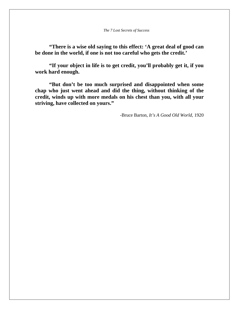**"There is a wise old saying to this effect: 'A great deal of good can be done in the world, if one is not too careful who gets the credit.'** 

**"If your object in life is to get credit, you'll probably get it, if you work hard enough.** 

**"But don't be too much surprised and disappointed when some chap who just went ahead and did the thing, without thinking of the credit, winds up with more medals on his chest than you, with all your striving, have collected on yours."** 

-Bruce Barton, *It's A Good Old World,* 1920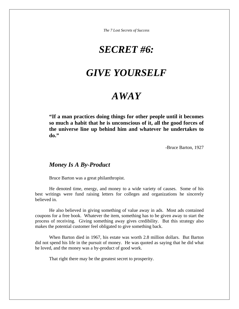# *SECRET #6:*

# *GIVE YOURSELF*

# *AWAY*

**"If a man practices doing things for other people until it becomes so much a habit that he is unconscious of it, all the good forces of the universe line up behind him and whatever he undertakes to do."** 

-Bruce Barton, 1927

### *Money Is A By-Product*

Bruce Barton was a great philanthropist.

He denoted time, energy, and money to a wide variety of causes. Some of his best writings were fund raising letters for colleges and organizations he sincerely believed in.

He also believed in giving something of value away in ads. Most ads contained coupons for a free book. Whatever the item, something has to be given away to start the process of receiving. Giving something away gives credibility. But this strategy also makes the potential customer feel obligated to give something back.

When Barton died in 1967, his estate was worth 2.8 million dollars. But Barton did not spend his life in the pursuit of money. He was quoted as saying that he did what he loved, and the money was a by-product of good work.

That right there may be the greatest secret to prosperity.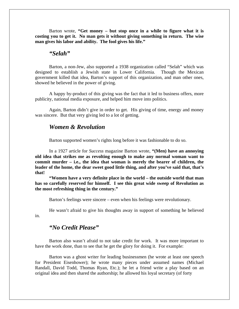Barton wrote, **"Get money – but stop once in a while to figure what it is costing you to get it. No man gets it without giving something in return. The wise man gives his labor and ability. The fool gives his life."** 

### *"Selah"*

Barton, a non-Jew, also supported a 1938 organization called "Selah" which was designed to establish a Jewish state in Lower California. Though the Mexican government killed that idea, Barton's support of this organization, and man other ones, showed he believed in the power of giving.

A happy by-product of this giving was the fact that it led to business offers, more publicity, national media exposure, and helped him move into politics.

Again, Barton didn't give in order to get. His giving of time, energy and money was sincere. But that very giving led to a lot of getting.

# *Women & Revolution*

Barton supported women's rights long before it was fashionable to do so.

In a 1927 article for *Success* magazine Barton wrote, **"(Men) have an annoying old idea that strikes me as revolting enough to make any normal woman want to commit murder – i.e., the idea that woman is merely the bearer of children, the leader of the home, the dear sweet good little thing, and after you've said that, that's that!** 

**"Women have a very definite place in the world – the outside world that man has so carefully reserved for himself. I see this great wide sweep of Revolution as the most refreshing thing in the century."** 

Barton's feelings were sincere – even when his feelings were revolutionary.

He wasn't afraid to give his thoughts away in support of something he believed

### *"No Credit Please"*

in.

Barton also wasn't afraid to not take credit for work. It was more important to have the work done, than to see that he get the glory for doing it. For example:

Barton was a ghost writer for leading businessmen (he wrote at least one speech for President Eisenhower); he wrote many pieces under assumed names (Michael Randall, David Todd, Thomas Ryan, Etc.); he let a friend write a play based on an original idea and then shared the authorship; he allowed his loyal secretary (of forty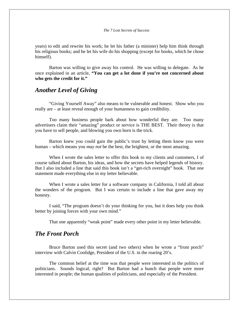years) to edit and rewrite his work; he let his father (a minister) help him think through his religious books; and he let his wife do his shopping (except for books, which he chose himself).

 Barton was willing to give away his control. He was willing to delegate. As he once explained in an article, **"You can get a lot done if you're not concerned about who gets the credit for it."** 

# *Another Level of Giving*

 "Giving Yourself Away" also means to be vulnerable and honest. Show who you really are – at least reveal enough of your humanness to gain credibility.

 Too many business people bark about how wonderful they are. Too many advertisers claim their "amazing" product or service is THE BEST. Their theory is that you have to sell people, and blowing you own horn is the trick.

 Barton knew you could gain the public's trust by letting them know you were human – which means you *may not* be the best, the brightest, or the most amazing.

When I wrote the sales letter to offer this book to my clients and customers, I of course talked about Barton, his ideas, and how the secrets have helped legends of history. But I also included a line that said this book isn't a "get-rich overnight" book. That one statement made everything else in my letter believable.

When I wrote a sales letter for a software company in California, I told all about the wonders of the program. But I was certain to include a line that gave away my honesty.

 I said, "The program doesn't do your thinking for you, but it does help you think better by joining forces with your own mind."

That one apparently "weak point" made every other point in my letter believable.

# *The Front Porch*

 Bruce Barton used this secret (and two others) when he wrote a "front porch" interview with Calvin Coolidge, President of the U.S. in the roaring 20's.

 The common belief at the time was that people were interested in the politics of politicians. Sounds logical, right? But Barton had a hunch that people were more interested in people; the human qualities of politicians, and especially of the President.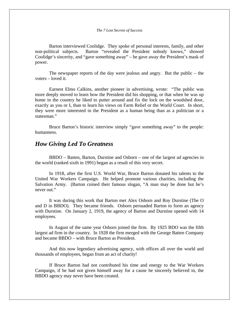Barton interviewed Coolidge. They spoke of personal interests, family, and other non-political subjects. Barton "revealed the President nobody knows," showed Coolidge's sincerity, and "gave something away" – he gave away the President's mask of power.

 The newspaper reports of the day were jealous and angry. But the public – the voters – loved it.

 Earnest Elmo Calkins, another pioneer in advertising, wrote: "The public was more deeply moved to learn how the President did his shopping, or that when he was up home in the country he liked to putter around and fix the lock on the woodshed door, exactly as you or I, than to learn his views on Farm Relief or the World Court. In short, they were more interested in the President as a human being than as a politician or a statesman."

 Bruce Barton's historic interview simply "gave something away" to the people: humanness.

# *How Giving Led To Greatness*

 BBDO – Batten, Barton, Durstine and Osborn – one of the largest ad agencies in the world (ranked sixth in 1991) began as a result of this very secret.

 In 1918, after the first U.S. World War, Bruce Barton donated his talents to the United War Workers Campaign. He helped promote various charities, including the Salvation Army. (Barton coined their famous slogan, "A man may be done but he's never out."

 It was during this work that Barton met Alex Osborn and Roy Durstine (The O and D in BBDO). They became friends. Osborn persuaded Barton to form an agency with Durstine. On January 2, 1919, the agency of Barton and Durstine opened with 14 employees.

 In August of the same year Osborn joined the firm. By 1925 BDO was the fifth largest ad firm in the country. In 1928 the firm merged with the George Batten Company and became BBDO – with Bruce Barton as President.

 And this now legendary advertising agency, with offices all over the world and thousands of employees, began from an act of charity!

 If Bruce Barton had not contributed his time and energy to the War Workers Campaign, if he had not given himself away for a cause he sincerely believed in, the BBDO agency may never have been created.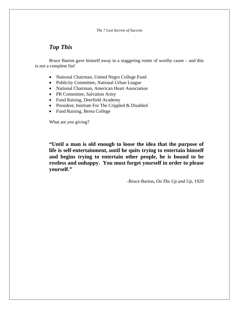# *Top This*

 Bruce Barton gave himself away to a staggering roster of worthy cause – and this is not a complete list!

- National Chairman, United Negro College Fund
- Publicity Committee, National Urban League
- National Chairman, American Heart Association
- PR Committee, Salvation Army
- Fund Raising, Deerfield Academy
- President, Institute For The Crippled & Disabled
- Fund Raising, Berea College

What are *you* giving?

**"Until a man is old enough to loose the idea that the purpose of life is self-entertainment, until he quits trying to entertain himself and begins trying to entertain other people, he is bound to be restless and unhappy. You must forget yourself in order to please yourself."** 

-Bruce Barton, *On The Up and Up,* 1929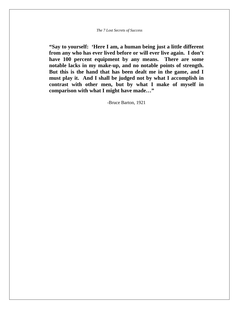**"Say to yourself: 'Here I am, a human being just a little different from any who has ever lived before or will ever live again. I don't have 100 percent equipment by any means. There are some notable lacks in my make-up, and no notable points of strength. But this is the hand that has been dealt me in the game, and I must play it. And I shall be judged not by what I accomplish in contrast with other men, but by what I make of myself in comparison with what I might have made…"** 

-Bruce Barton, 1921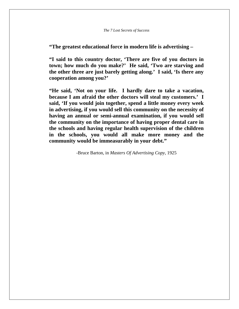**"The greatest educational force in modern life is advertising –** 

**"I said to this country doctor, 'There are five of you doctors in town; how much do you make?' He said, 'Two are starving and the other three are just barely getting along.' I said, 'Is there any cooperation among you?'** 

**"He said, 'Not on your life. I hardly dare to take a vacation, because I am afraid the other doctors will steal my customers.' I said, 'If you would join together, spend a little money every week in advertising, if you would sell this community on the necessity of having an annual or semi-annual examination, if you would sell the community on the importance of having proper dental care in the schools and having regular health supervision of the children in the schools, you would all make more money and the community would be immeasurably in your debt."** 

-Bruce Barton, in *Masters Of Advertising Copy,* 1925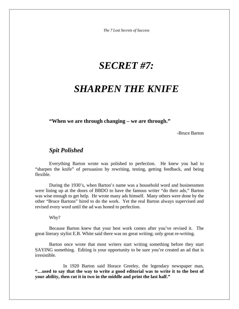# *SECRET #7:*

# *SHARPEN THE KNIFE*

**"When we are through changing – we are through."** 

-Bruce Barton

## *Spit Polished*

Everything Barton wrote was polished to perfection. He knew you had to "sharpen the knife" of persuasion by rewriting, testing, getting feedback, and being flexible.

During the 1930's, when Barton's name was a household word and businessmen were lining up at the doors of BBDO to have the famous writer "do their ads," Barton was wise enough to get help. He wrote many ads himself. Many others were done by the other "Bruce Bartons" hired to do the work. Yet the real Barton always supervised and revised every word until the ad was honed to perfection.

Why?

Because Barton knew that your best work comes after you've revised it. The great literary stylist E.B. White said there was no great writing; only great re-writing.

Barton once wrote that most writers start writing something before they start SAYING something. Editing is your opportunity to be sure you're created an ad that is irresistible.

 In 1920 Barton said Horace Greeley, the legendary newspaper man, **"…used to say that the way to write a good editorial was to write it to the best of your ability, then cut it in two in the middle and print the last half."**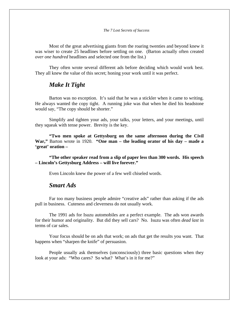Most of the great advertising giants from the roaring twenties and beyond knew it was wiser to create 25 headlines before settling on one. (Barton actually often created *over one hundred* headlines and selected one from the list.)

They often wrote several different ads before deciding which would work best. They all knew the value of this secret; honing your work until it was perfect.

## *Make It Tight*

Barton was no exception. It's said that he was a stickler when it came to writing. He always wanted the copy tight. A running joke was that when he died his headstone would say, "The copy should be shorter."

Simplify and tighten your ads, your talks, your letters, and your meetings, until they squeak with tense power. Brevity is the key.

**"Two men spoke at Gettysburg on the same afternoon during the Civil War,"** Barton wrote in 1920. **"One man – the leading orator of his day – made a 'great' oration –** 

**"The other speaker read from a slip of paper less than 300 words. His speech – Lincoln's Gettysburg Address – will live forever."** 

Even Lincoln knew the power of a few well chiseled words.

## *Smart Ads*

Far too many business people admire "creative ads" rather than asking if the ads pull in business. Cuteness and cleverness do not usually work.

The 1991 ads for Isuzu automobiles are a perfect example. The ads won awards for their humor and originality. But did they sell cars? No. Isuzu was often *dead last* in terms of car sales.

Your focus should be on ads that work; on ads that get the results you want. That happens when "sharpen the knife" of persuasion.

People usually ask themselves (unconsciously) three basic questions when they look at your ads: "Who cares? So what? What's in it for me?"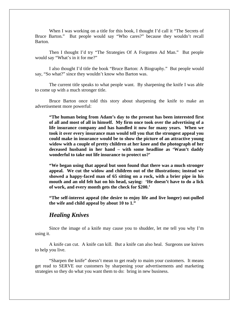When I was working on a title for this book, I thought I'd call it "The Secrets of Bruce Barton." But people would say "Who cares?" because they wouldn't recall Barton.

Then I thought I'd try "The Strategies Of A Forgotten Ad Man." But people would say "What's in it for me?"

I also thought I'd title the book "Bruce Barton: A Biography." But people would say, "So what?" since they wouldn't know who Barton was.

The current title speaks to what people want. By sharpening the knife I was able to come up with a much stronger title.

Bruce Barton once told this story about sharpening the knife to make an advertisement more powerful:

**"The human being from Adam's day to the present has been interested first of all and most of all in himself. My firm once took over the advertising of a life insurance company and has handled it now for many years. When we took it over every insurance man would tell you that the strongest appeal you could make in insurance would be to show the picture of an attractive young widow with a couple of pretty children at her knee and the photograph of her deceased husband in her hand – with some headline as 'Wasn't daddy wonderful to take out life insurance to protect us?'** 

**"We began using that appeal but soon found that there was a much stronger appeal. We cut the widow and children out of the illustrations; instead we showed a happy-faced man of 65 sitting on a rock, with a brier pipe in his mouth and an old felt hat on his head, saying: 'He doesn't have to do a lick of work, and every month gets the check for \$200.'** 

**"The self-interest appeal (the desire to enjoy life and live longer) out-pulled the wife and child appeal by about 10 to 1."** 

## *Healing Knives*

Since the image of a knife may cause you to shudder, let me tell you why I'm using it.

A knife can cut. A knife can kill. But a knife can also heal. Surgeons use knives to help you live.

"Sharpen the knife" doesn't mean to get ready to maim your customers. It means get read to SERVE our customers by sharpening your advertisements and marketing strategies so they do what you want them to do: bring in new business.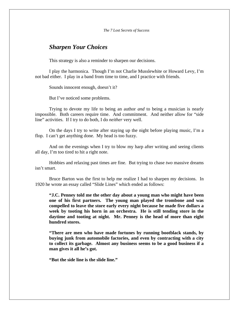## *Sharpen Your Choices*

This strategy is also a reminder to sharpen our decisions.

I play the harmonica. Though I'm not Charlie Musslewhite or Howard Levy, I'm not bad either. I play in a band from time to time, and I practice with friends.

Sounds innocent enough, doesn't it?

But I've noticed some problems.

Trying to devote my life to being an author *and* to being a musician is nearly impossible. Both careers require time. And commitment. And neither allow for "side line" activities. If I try to do both, I do *neither* very well.

 On the days I try to write after staying up the night before playing music, I'm a flop. I can't get anything done. My head is too fuzzy.

 And on the evenings when I try to blow my harp after writing and seeing clients all day, I'm too tired to hit a right note.

 Hobbies and relaxing past times are fine. But trying to chase *two* massive dreams isn't smart.

 Bruce Barton was the first to help me realize I had to sharpen my decisions. In 1920 he wrote an essay called "Slide Lines" which ended as follows:

**"J.C. Penney told me the other day about a young man who might have been one of his first partners. The young man played the trombone and was compelled to leave the store early every night because he made five dollars a week by tooting his horn in an orchestra. He is still tending store in the daytime and tooting at night. Mr. Penney is the head of more than eight hundred stores.** 

**"There are men who have made fortunes by running bootblack stands, by buying junk from automobile factories, and even by contracting with a city to collect its garbage. Almost any business seems to be a good business if a man gives it all he's got.** 

**"But the side line is the slide line."**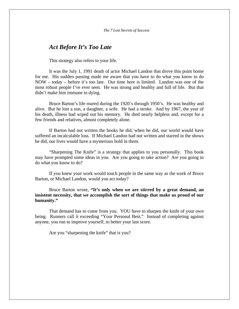## *Act Before It's Too Late*

This strategy also refers to your life.

It was the July 1, 1991 death of actor Michael Landon that drove this point home for me. His sudden passing made me aware that you have to do what you know to do NOW – today – before it's too late. Our time here is limited. Landon was one of the most robust people I've ever seen. He was strong and healthy and full of life. But that didn't make him immune to dying.

Bruce Barton's life roared during the 1920's through 1950's. He was healthy and alive. But he lost a son, a daughter, a wife. He had a stroke. And by 1967, the year of his death, illness had wiped out his memory. He died nearly helpless and, except for a few friends and relatives, almost completely alone.

If Barton had not written the books he did, when he did, our world would have suffered an incalculable loss. If Michael Landon had not written and starred in the shows he did, our lives would have a mysterious hold in them.

"Sharpening The Knife" is a strategy that applies to you personally. This book may have prompted some ideas in you. Are you going to take action? Are you going to do what you know to do?

If you knew your work would touch people in the same way as the work of Bruce Barton, or Michael Landon, would you act today?

Bruce Barton wrote, **"It's only when we are stirred by a great demand, an insistent necessity, that we accomplish the sort of things that make us proud of our humanity."** 

That demand has to come from you. YOU have to sharpen the knife of your own being. Runners call it exceeding "Your Personal Best." Instead of completing against anyone, you run to improve yourself, to better your last score.

Are you "sharpening the knife" that is you?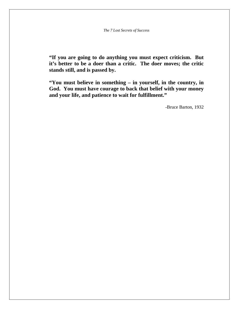**"If you are going to do anything you must expect criticism. But it's better to be a doer than a critic. The doer moves; the critic stands still, and is passed by.** 

**"You must believe in something – in yourself, in the country, in God. You must have courage to back that belief with your money and your life, and patience to wait for fulfillment."** 

-Bruce Barton, 1932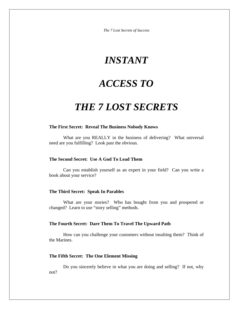# *INSTANT*

# *ACCESS TO*

# *THE 7 LOST SECRETS*

#### **The First Secret: Reveal The Business Nobody Knows**

What are you REALLY in the business of delivering? What universal need are you fulfilling? Look past the obvious.

#### **The Second Secret: Use A God To Lead Them**

Can you establish yourself as an expert in your field? Can you write a book about your service?

#### **The Third Secret: Speak In Parables**

What are your stories? Who has bought from you and prospered or changed? Learn to use "story selling" methods.

#### **The Fourth Secret: Dare Them To Travel The Upward Path**

How can you challenge your customers without insulting them? Think of the Marines.

#### **The Fifth Secret: The One Element Missing**

Do you sincerely believe in what you are doing and selling? If not, why not?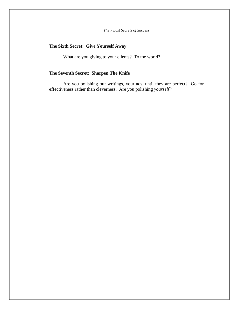## **The Sixth Secret: Give Yourself Away**

What are you giving to your clients? To the world?

# **The Seventh Secret: Sharpen The Knife**

Are you polishing our writings, your ads, until they are perfect? Go for effectiveness rather than cleverness. Are you polishing *yourself?*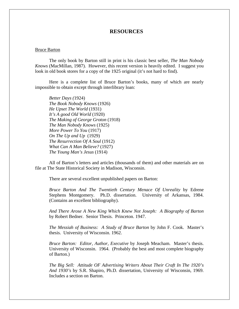#### **RESOURCES**

#### Bruce Barton

 The only book by Barton still in print is his classic best seller, *The Man Nobody Knows* (MacMillan, 1987). However, this recent version is heavily edited. I suggest you look in old book stores for a copy of the 1925 original (it's not hard to find).

 Here is a complete list of Bruce Barton's books, many of which are nearly impossible to obtain except through interlibrary loan:

*Better Days (*1924) *The Book Nobody Knows* (1926) *He Upset The World* (1931) *It's A good Old World* (1920) *The Making of George Groton* (1918) *The Man Nobody Knows* (1925) *More Power To You* (1917) *On The Up and Up* (1929) *The Resurrection Of A Soul* (1912) *What Can A Man Believe?* (1927) *The Young Man's Jesus* (1914)

 All of Barton's letters and articles (thousands of them) and other materials are on file at The State Historical Society in Madison, Wisconsin.

There are several excellent unpublished papers on Barton:

*Bruce Barton And The Twentieth Century Menace Of Unreality* by Edrene Stephens Montgomery. Ph.D. dissertation. University of Arkansas, 1984. (Contains an excellent bibliography).

*And There Arose A New King Which Knew Not Joseph: A Biography of Barton*  by Robert Bedner. Senior Thesis. Princeton. 1947.

*The Messiah of Business: A Study of Bruce Barton* by John F. Cook. Master's thesis. University of Wisconsin. 1962.

*Bruce Barton: Editor, Author, Executive* by Joseph Meacham. Master's thesis. University of Wisconsin. 1964. (Probably the best and most complete biography of Barton.)

*The Big Sell: Attitude OF Advertising Writers About Their Craft In The 1920's And 1930's* by S.R. Shapiro, Ph.D. dissertation, University of Wisconsin, 1969. Includes a section on Barton.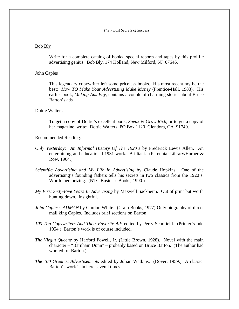#### Bob Bly

 Write for a complete catalog of books, special reports and tapes by this prolific advertising genius. Bob Bly, 174 Holland, New Milford, NJ 07646.

#### John Caples

 This legendary copywriter left some priceless books. His most recent my be the best: *How TO Make Your Advertising Make Money* (Prentice-Hall, 1983). His earlier book, *Making Ads Pay,* contains a couple of charming stories about Bruce Barton's ads.

#### Dottie Walters

 To get a copy of Dottie's excellent book, *Speak & Grow Rich*, or to get a copy of her magazine, write: Dottie Walters, PO Box 1120, Glendora, CA 91740.

#### Recommended Reading:

- *Only Yesterday: An Informal History Of The 1920's* by Frederick Lewis Allen. An entertaining and educational 1931 work. Brilliant. (Perennial Library/Harper & Row, 1964.)
- *Scientific Advertising and My Life In Advertising* by Claude Hopkins. One of the advertising's founding fathers tells his secrets in two classics from the 1920's. Worth memorizing. (NTC Business Books, 1990.)
- *My First Sixty-Five Years In Advertising* by Maxwell Sackheim. Out of print but worth hunting down. Insightful.
- *John Caples: ADMAN* by Gordon White. (Crain Books, 1977) Only biography of direct mail king Caples. Includes brief sections on Barton.
- *100 Top Copywriters And Their Favorite Ads* edited by Perry Schofield. (Printer's Ink, 1954.) Barton's work is of course included.
- *The Virgin Queene* by Harford Powell, Jr. (Little Brown, 1928). Novel with the main character – "Barnham Dunn" – probably based on Bruce Barton. (The author had worked for Barton.)
- *The 100 Greatest Advertisements* edited by Julian Watkins. (Dover, 1959.) A classic. Barton's work is in here several times.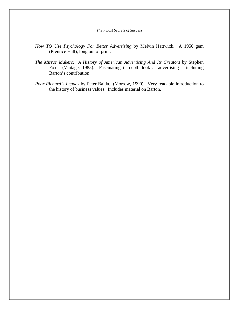- *How TO Use Psychology For Better Advertising* by Melvin Hattwick. A 1950 gem (Prentice Hall), long out of print.
- *The Mirror Makers: A History of American Advertising And Its Creators* by Stephen Fox. (Vintage, 1985). Fascinating in depth look at advertising – including Barton's contribution.
- *Poor Richard's Legacy* by Peter Baida. (Morrow, 1990). Very readable introduction to the history of business values. Includes material on Barton.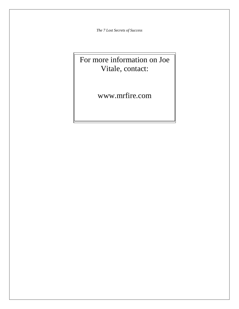# For more information on Joe Vitale, contact:

www.mrfire.com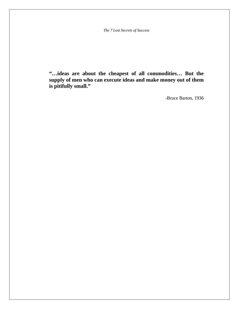**"…ideas are about the cheapest of all commodities… But the supply of men who can execute ideas and make money out of them is pitifully small."** 

-Bruce Barton, 1936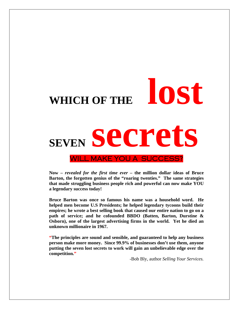# WHICH OF THE **lost SEVEN secrets**  WILL MAKE YOU A SUCCESS?

**Now –** *revealed for the first time ever –* **the million dollar ideas of Bruce Barton, the forgotten genius of the "roaring twenties." The same strategies that made struggling business people rich and powerful can now make YOU a legendary success today!** 

**Bruce Barton was once so famous his name was a household word. He helped men become U.S Presidents; he helped legendary tycoons build their empires; he wrote a best selling book that caused our entire nation to go on a path of service; and he cofounded BBDO (Batten, Barton, Durstine & Osborn), one of the largest advertising firms in the world. Yet he died an unknown millionaire in 1967.** 

**"The principles are sound and sensible, and guaranteed to help any business person make more money. Since 99.9% of businesses don't use them, anyone putting the seven lost secrets to work will gain an unbelievable edge over the competition."** 

-Bob Bly, author *Selling Your Services.*